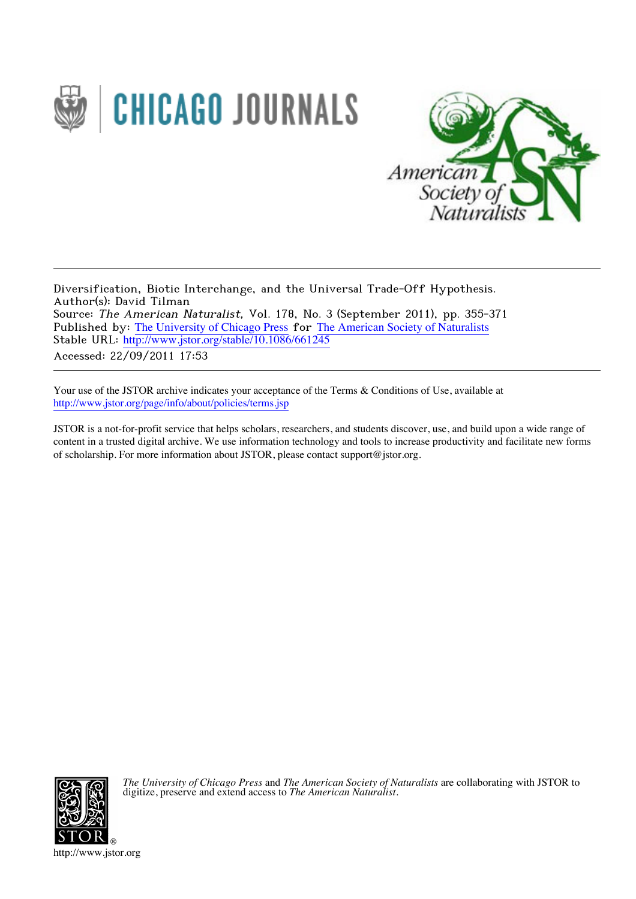



Diversification, Biotic Interchange, and the Universal Trade-Off Hypothesis. Author(s): David Tilman Source: The American Naturalist, Vol. 178, No. 3 (September 2011), pp. 355-371 Published by: [The University of Chicago Press](http://www.jstor.org/action/showPublisher?publisherCode=ucpress) for [The American Society of Naturalists](http://www.jstor.org/action/showPublisher?publisherCode=amsocnat) Stable URL: http://www.jstor.org/stable/10.1086/661245 Accessed: 22/09/2011 17:53

Your use of the JSTOR archive indicates your acceptance of the Terms & Conditions of Use, available at <http://www.jstor.org/page/info/about/policies/terms.jsp>

JSTOR is a not-for-profit service that helps scholars, researchers, and students discover, use, and build upon a wide range of content in a trusted digital archive. We use information technology and tools to increase productivity and facilitate new forms of scholarship. For more information about JSTOR, please contact support@jstor.org.



*The University of Chicago Press* and *The American Society of Naturalists* are collaborating with JSTOR to digitize, preserve and extend access to *The American Naturalist.*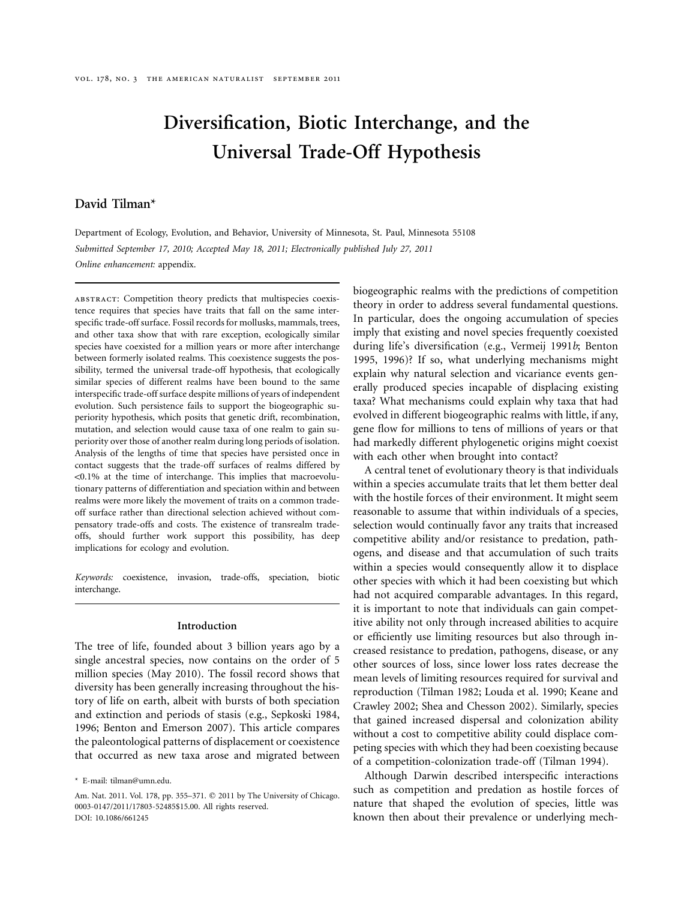# **Diversification, Biotic Interchange, and the Universal Trade-Off Hypothesis**

# **David Tilman\***

Department of Ecology, Evolution, and Behavior, University of Minnesota, St. Paul, Minnesota 55108 *Submitted September 17, 2010; Accepted May 18, 2011; Electronically published July 27, 2011 Online enhancement:* appendix.

abstract: Competition theory predicts that multispecies coexistence requires that species have traits that fall on the same interspecific trade-off surface. Fossil records for mollusks, mammals, trees, and other taxa show that with rare exception, ecologically similar species have coexisted for a million years or more after interchange between formerly isolated realms. This coexistence suggests the possibility, termed the universal trade-off hypothesis, that ecologically similar species of different realms have been bound to the same interspecific trade-off surface despite millions of years of independent evolution. Such persistence fails to support the biogeographic superiority hypothesis, which posits that genetic drift, recombination, mutation, and selection would cause taxa of one realm to gain superiority over those of another realm during long periods of isolation. Analysis of the lengths of time that species have persisted once in contact suggests that the trade-off surfaces of realms differed by !0.1% at the time of interchange. This implies that macroevolutionary patterns of differentiation and speciation within and between realms were more likely the movement of traits on a common tradeoff surface rather than directional selection achieved without compensatory trade-offs and costs. The existence of transrealm tradeoffs, should further work support this possibility, has deep implications for ecology and evolution.

*Keywords:* coexistence, invasion, trade-offs, speciation, biotic interchange.

## **Introduction**

The tree of life, founded about 3 billion years ago by a single ancestral species, now contains on the order of 5 million species (May 2010). The fossil record shows that diversity has been generally increasing throughout the history of life on earth, albeit with bursts of both speciation and extinction and periods of stasis (e.g., Sepkoski 1984, 1996; Benton and Emerson 2007). This article compares the paleontological patterns of displacement or coexistence that occurred as new taxa arose and migrated between biogeographic realms with the predictions of competition theory in order to address several fundamental questions. In particular, does the ongoing accumulation of species imply that existing and novel species frequently coexisted during life's diversification (e.g., Vermeij 1991*b*; Benton 1995, 1996)? If so, what underlying mechanisms might explain why natural selection and vicariance events generally produced species incapable of displacing existing taxa? What mechanisms could explain why taxa that had evolved in different biogeographic realms with little, if any, gene flow for millions to tens of millions of years or that had markedly different phylogenetic origins might coexist with each other when brought into contact?

A central tenet of evolutionary theory is that individuals within a species accumulate traits that let them better deal with the hostile forces of their environment. It might seem reasonable to assume that within individuals of a species, selection would continually favor any traits that increased competitive ability and/or resistance to predation, pathogens, and disease and that accumulation of such traits within a species would consequently allow it to displace other species with which it had been coexisting but which had not acquired comparable advantages. In this regard, it is important to note that individuals can gain competitive ability not only through increased abilities to acquire or efficiently use limiting resources but also through increased resistance to predation, pathogens, disease, or any other sources of loss, since lower loss rates decrease the mean levels of limiting resources required for survival and reproduction (Tilman 1982; Louda et al. 1990; Keane and Crawley 2002; Shea and Chesson 2002). Similarly, species that gained increased dispersal and colonization ability without a cost to competitive ability could displace competing species with which they had been coexisting because of a competition-colonization trade-off (Tilman 1994).

Although Darwin described interspecific interactions such as competition and predation as hostile forces of nature that shaped the evolution of species, little was known then about their prevalence or underlying mech-

<sup>\*</sup> E-mail: [tilman@umn.edu.](mailto:tilman@umn.edu)

Am. Nat. 2011. Vol. 178, pp. 355-371. @ 2011 by The University of Chicago. 0003-0147/2011/17803-52485\$15.00. All rights reserved. DOI: 10.1086/661245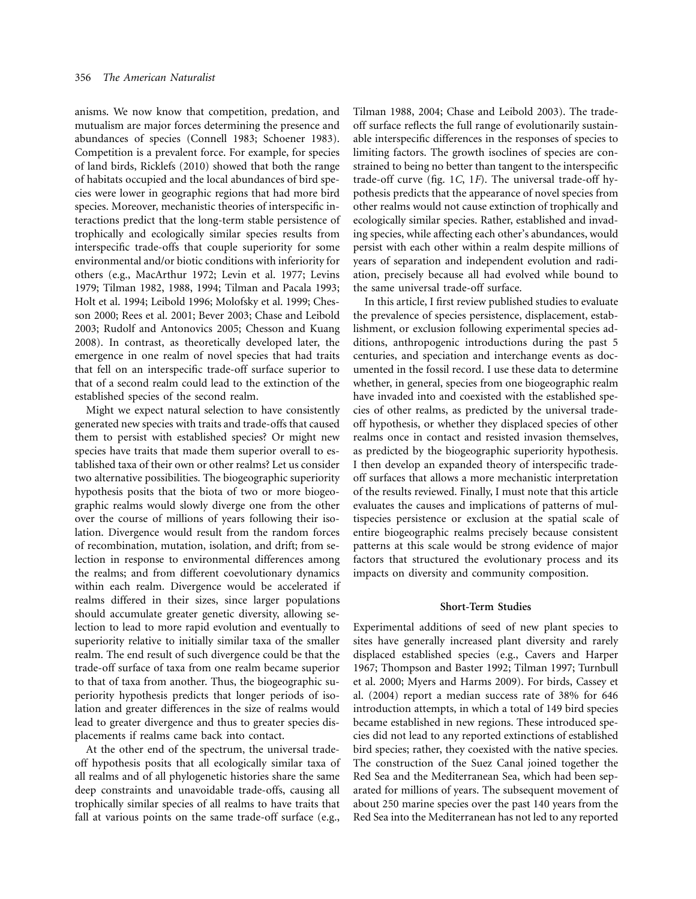anisms. We now know that competition, predation, and mutualism are major forces determining the presence and abundances of species (Connell 1983; Schoener 1983). Competition is a prevalent force. For example, for species of land birds, Ricklefs (2010) showed that both the range of habitats occupied and the local abundances of bird species were lower in geographic regions that had more bird species. Moreover, mechanistic theories of interspecific interactions predict that the long-term stable persistence of trophically and ecologically similar species results from interspecific trade-offs that couple superiority for some environmental and/or biotic conditions with inferiority for others (e.g., MacArthur 1972; Levin et al. 1977; Levins 1979; Tilman 1982, 1988, 1994; Tilman and Pacala 1993; Holt et al. 1994; Leibold 1996; Molofsky et al. 1999; Chesson 2000; Rees et al. 2001; Bever 2003; Chase and Leibold 2003; Rudolf and Antonovics 2005; Chesson and Kuang 2008). In contrast, as theoretically developed later, the emergence in one realm of novel species that had traits that fell on an interspecific trade-off surface superior to that of a second realm could lead to the extinction of the established species of the second realm.

Might we expect natural selection to have consistently generated new species with traits and trade-offs that caused them to persist with established species? Or might new species have traits that made them superior overall to established taxa of their own or other realms? Let us consider two alternative possibilities. The biogeographic superiority hypothesis posits that the biota of two or more biogeographic realms would slowly diverge one from the other over the course of millions of years following their isolation. Divergence would result from the random forces of recombination, mutation, isolation, and drift; from selection in response to environmental differences among the realms; and from different coevolutionary dynamics within each realm. Divergence would be accelerated if realms differed in their sizes, since larger populations should accumulate greater genetic diversity, allowing selection to lead to more rapid evolution and eventually to superiority relative to initially similar taxa of the smaller realm. The end result of such divergence could be that the trade-off surface of taxa from one realm became superior to that of taxa from another. Thus, the biogeographic superiority hypothesis predicts that longer periods of isolation and greater differences in the size of realms would lead to greater divergence and thus to greater species displacements if realms came back into contact.

At the other end of the spectrum, the universal tradeoff hypothesis posits that all ecologically similar taxa of all realms and of all phylogenetic histories share the same deep constraints and unavoidable trade-offs, causing all trophically similar species of all realms to have traits that fall at various points on the same trade-off surface (e.g.,

Tilman 1988, 2004; Chase and Leibold 2003). The tradeoff surface reflects the full range of evolutionarily sustainable interspecific differences in the responses of species to limiting factors. The growth isoclines of species are constrained to being no better than tangent to the interspecific trade-off curve (fig. 1*C*, 1*F*). The universal trade-off hypothesis predicts that the appearance of novel species from other realms would not cause extinction of trophically and ecologically similar species. Rather, established and invading species, while affecting each other's abundances, would persist with each other within a realm despite millions of years of separation and independent evolution and radiation, precisely because all had evolved while bound to the same universal trade-off surface.

In this article, I first review published studies to evaluate the prevalence of species persistence, displacement, establishment, or exclusion following experimental species additions, anthropogenic introductions during the past 5 centuries, and speciation and interchange events as documented in the fossil record. I use these data to determine whether, in general, species from one biogeographic realm have invaded into and coexisted with the established species of other realms, as predicted by the universal tradeoff hypothesis, or whether they displaced species of other realms once in contact and resisted invasion themselves, as predicted by the biogeographic superiority hypothesis. I then develop an expanded theory of interspecific tradeoff surfaces that allows a more mechanistic interpretation of the results reviewed. Finally, I must note that this article evaluates the causes and implications of patterns of multispecies persistence or exclusion at the spatial scale of entire biogeographic realms precisely because consistent patterns at this scale would be strong evidence of major factors that structured the evolutionary process and its impacts on diversity and community composition.

# **Short-Term Studies**

Experimental additions of seed of new plant species to sites have generally increased plant diversity and rarely displaced established species (e.g., Cavers and Harper 1967; Thompson and Baster 1992; Tilman 1997; Turnbull et al. 2000; Myers and Harms 2009). For birds, Cassey et al. (2004) report a median success rate of 38% for 646 introduction attempts, in which a total of 149 bird species became established in new regions. These introduced species did not lead to any reported extinctions of established bird species; rather, they coexisted with the native species. The construction of the Suez Canal joined together the Red Sea and the Mediterranean Sea, which had been separated for millions of years. The subsequent movement of about 250 marine species over the past 140 years from the Red Sea into the Mediterranean has not led to any reported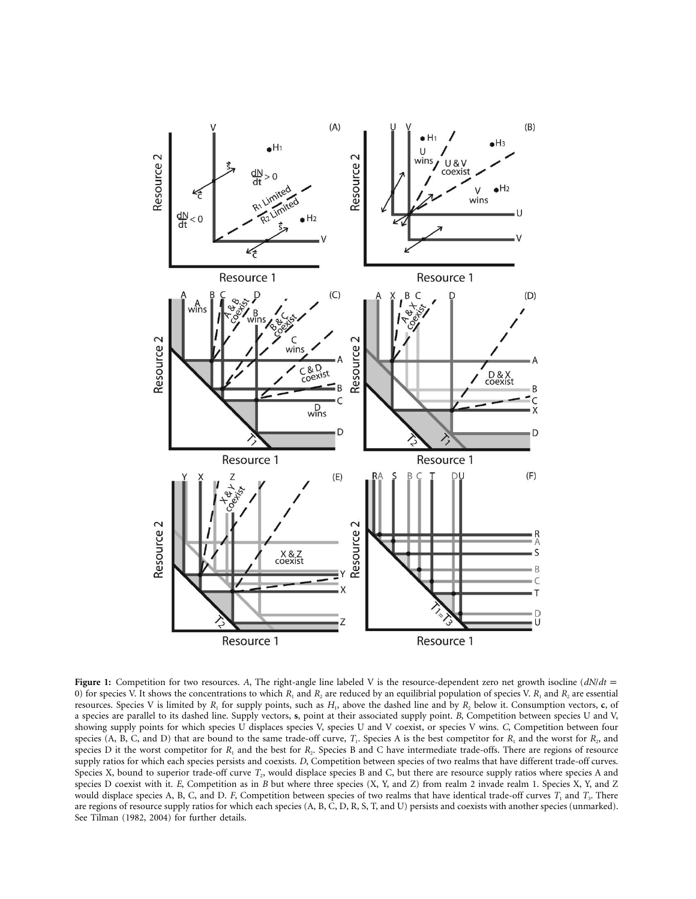

**Figure 1:** Competition for two resources. A, The right-angle line labeled V is the resource-dependent zero net growth isocline  $(dN/dt =$ 0) for species V. It shows the concentrations to which  $R_1$  and  $R_2$  are reduced by an equilibrial population of species V.  $R_1$  and  $R_2$  are essential resources. Species V is limited by *R*<sup>1</sup> for supply points, such as *H*1, above the dashed line and by *R*<sup>2</sup> below it. Consumption vectors, **c**, of a species are parallel to its dashed line. Supply vectors, **s**, point at their associated supply point. *B*, Competition between species U and V, showing supply points for which species U displaces species V, species U and V coexist, or species V wins. *C*, Competition between four species (A, B, C, and D) that are bound to the same trade-off curve,  $T_1$ . Species A is the best competitor for  $R_1$  and the worst for  $R_2$ , and species D it the worst competitor for  $R_1$  and the best for  $R_2$ . Species B and C have intermediate trade-offs. There are regions of resource supply ratios for which each species persists and coexists. *D*, Competition between species of two realms that have different trade-off curves. Species X, bound to superior trade-off curve *T*<sub>2</sub>, would displace species B and C, but there are resource supply ratios where species A and species D coexist with it. *E*, Competition as in *B* but where three species (X, Y, and Z) from realm 2 invade realm 1. Species X, Y, and Z would displace species A, B, C, and D. *F*, Competition between species of two realms that have identical trade-off curves  $T_1$  and  $T_3$ . There are regions of resource supply ratios for which each species (A, B, C, D, R, S, T, and U) persists and coexists with another species (unmarked). See Tilman (1982, 2004) for further details.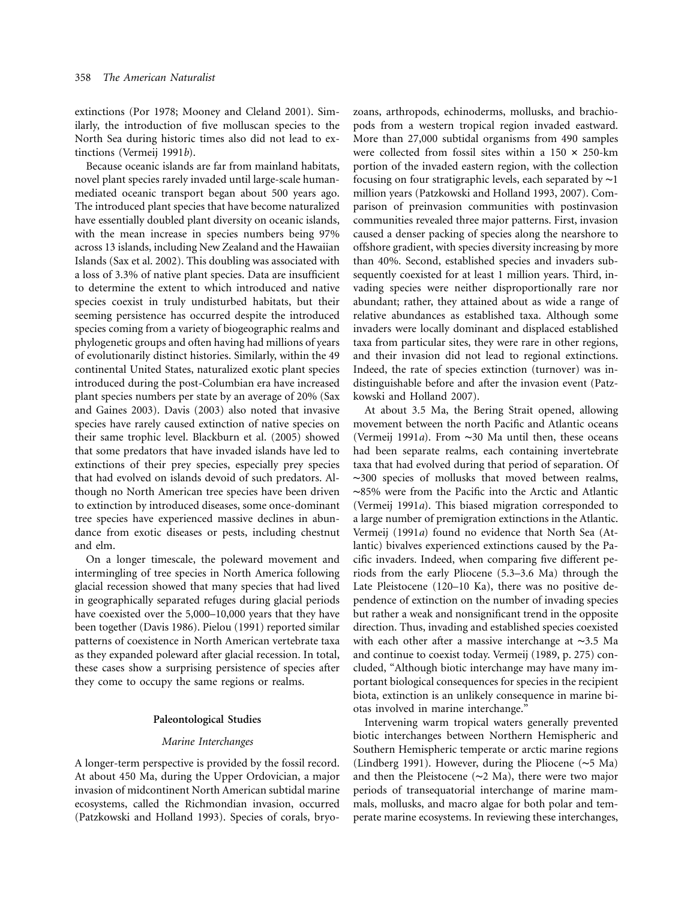extinctions (Por 1978; Mooney and Cleland 2001). Similarly, the introduction of five molluscan species to the North Sea during historic times also did not lead to extinctions (Vermeij 1991*b*).

Because oceanic islands are far from mainland habitats, novel plant species rarely invaded until large-scale humanmediated oceanic transport began about 500 years ago. The introduced plant species that have become naturalized have essentially doubled plant diversity on oceanic islands, with the mean increase in species numbers being 97% across 13 islands, including New Zealand and the Hawaiian Islands (Sax et al. 2002). This doubling was associated with a loss of 3.3% of native plant species. Data are insufficient to determine the extent to which introduced and native species coexist in truly undisturbed habitats, but their seeming persistence has occurred despite the introduced species coming from a variety of biogeographic realms and phylogenetic groups and often having had millions of years of evolutionarily distinct histories. Similarly, within the 49 continental United States, naturalized exotic plant species introduced during the post-Columbian era have increased plant species numbers per state by an average of 20% (Sax and Gaines 2003). Davis (2003) also noted that invasive species have rarely caused extinction of native species on their same trophic level. Blackburn et al. (2005) showed that some predators that have invaded islands have led to extinctions of their prey species, especially prey species that had evolved on islands devoid of such predators. Although no North American tree species have been driven to extinction by introduced diseases, some once-dominant tree species have experienced massive declines in abundance from exotic diseases or pests, including chestnut and elm.

On a longer timescale, the poleward movement and intermingling of tree species in North America following glacial recession showed that many species that had lived in geographically separated refuges during glacial periods have coexisted over the 5,000–10,000 years that they have been together (Davis 1986). Pielou (1991) reported similar patterns of coexistence in North American vertebrate taxa as they expanded poleward after glacial recession. In total, these cases show a surprising persistence of species after they come to occupy the same regions or realms.

## **Paleontological Studies**

## *Marine Interchanges*

A longer-term perspective is provided by the fossil record. At about 450 Ma, during the Upper Ordovician, a major invasion of midcontinent North American subtidal marine ecosystems, called the Richmondian invasion, occurred (Patzkowski and Holland 1993). Species of corals, bryozoans, arthropods, echinoderms, mollusks, and brachiopods from a western tropical region invaded eastward. More than 27,000 subtidal organisms from 490 samples were collected from fossil sites within a  $150 \times 250$ -km portion of the invaded eastern region, with the collection focusing on four stratigraphic levels, each separated by ∼1 million years (Patzkowski and Holland 1993, 2007). Comparison of preinvasion communities with postinvasion communities revealed three major patterns. First, invasion caused a denser packing of species along the nearshore to offshore gradient, with species diversity increasing by more than 40%. Second, established species and invaders subsequently coexisted for at least 1 million years. Third, invading species were neither disproportionally rare nor abundant; rather, they attained about as wide a range of relative abundances as established taxa. Although some invaders were locally dominant and displaced established taxa from particular sites, they were rare in other regions, and their invasion did not lead to regional extinctions. Indeed, the rate of species extinction (turnover) was indistinguishable before and after the invasion event (Patzkowski and Holland 2007).

At about 3.5 Ma, the Bering Strait opened, allowing movement between the north Pacific and Atlantic oceans (Vermeij 1991*a*). From ∼30 Ma until then, these oceans had been separate realms, each containing invertebrate taxa that had evolved during that period of separation. Of ∼300 species of mollusks that moved between realms, ∼85% were from the Pacific into the Arctic and Atlantic (Vermeij 1991*a*). This biased migration corresponded to a large number of premigration extinctions in the Atlantic. Vermeij (1991*a*) found no evidence that North Sea (Atlantic) bivalves experienced extinctions caused by the Pacific invaders. Indeed, when comparing five different periods from the early Pliocene (5.3–3.6 Ma) through the Late Pleistocene (120–10 Ka), there was no positive dependence of extinction on the number of invading species but rather a weak and nonsignificant trend in the opposite direction. Thus, invading and established species coexisted with each other after a massive interchange at ∼3.5 Ma and continue to coexist today. Vermeij (1989, p. 275) concluded, "Although biotic interchange may have many important biological consequences for species in the recipient biota, extinction is an unlikely consequence in marine biotas involved in marine interchange."

Intervening warm tropical waters generally prevented biotic interchanges between Northern Hemispheric and Southern Hemispheric temperate or arctic marine regions (Lindberg 1991). However, during the Pliocene (∼5 Ma) and then the Pleistocene (∼2 Ma), there were two major periods of transequatorial interchange of marine mammals, mollusks, and macro algae for both polar and temperate marine ecosystems. In reviewing these interchanges,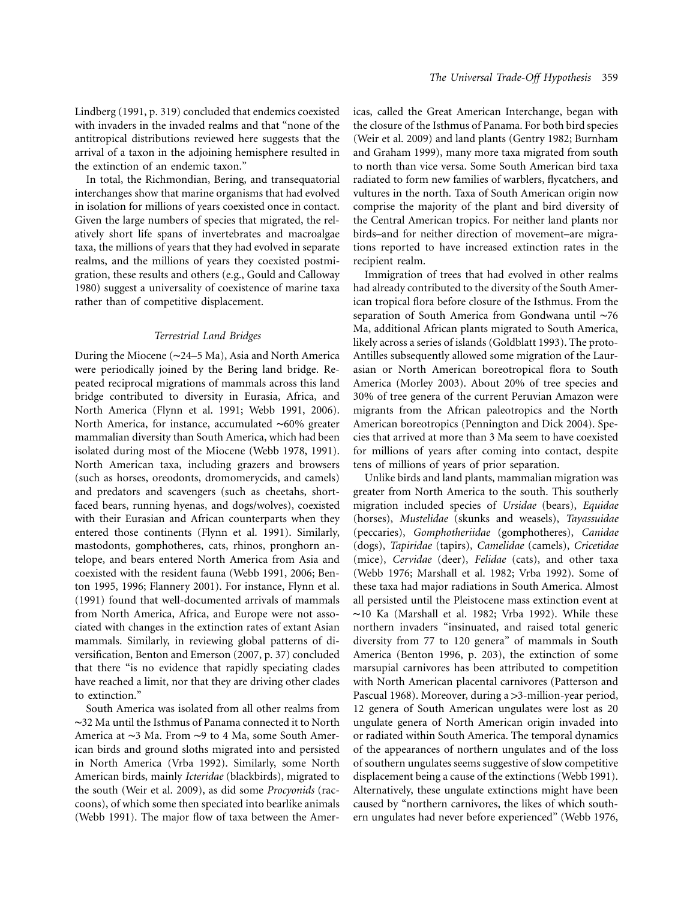Lindberg (1991, p. 319) concluded that endemics coexisted with invaders in the invaded realms and that "none of the antitropical distributions reviewed here suggests that the arrival of a taxon in the adjoining hemisphere resulted in the extinction of an endemic taxon."

In total, the Richmondian, Bering, and transequatorial interchanges show that marine organisms that had evolved in isolation for millions of years coexisted once in contact. Given the large numbers of species that migrated, the relatively short life spans of invertebrates and macroalgae taxa, the millions of years that they had evolved in separate realms, and the millions of years they coexisted postmigration, these results and others (e.g., Gould and Calloway 1980) suggest a universality of coexistence of marine taxa rather than of competitive displacement.

#### *Terrestrial Land Bridges*

During the Miocene (∼24–5 Ma), Asia and North America were periodically joined by the Bering land bridge. Repeated reciprocal migrations of mammals across this land bridge contributed to diversity in Eurasia, Africa, and North America (Flynn et al. 1991; Webb 1991, 2006). North America, for instance, accumulated ∼60% greater mammalian diversity than South America, which had been isolated during most of the Miocene (Webb 1978, 1991). North American taxa, including grazers and browsers (such as horses, oreodonts, dromomerycids, and camels) and predators and scavengers (such as cheetahs, shortfaced bears, running hyenas, and dogs/wolves), coexisted with their Eurasian and African counterparts when they entered those continents (Flynn et al. 1991). Similarly, mastodonts, gomphotheres, cats, rhinos, pronghorn antelope, and bears entered North America from Asia and coexisted with the resident fauna (Webb 1991, 2006; Benton 1995, 1996; Flannery 2001). For instance, Flynn et al. (1991) found that well-documented arrivals of mammals from North America, Africa, and Europe were not associated with changes in the extinction rates of extant Asian mammals. Similarly, in reviewing global patterns of diversification, Benton and Emerson (2007, p. 37) concluded that there "is no evidence that rapidly speciating clades have reached a limit, nor that they are driving other clades to extinction."

South America was isolated from all other realms from ∼32 Ma until the Isthmus of Panama connected it to North America at ∼3 Ma. From ∼9 to 4 Ma, some South American birds and ground sloths migrated into and persisted in North America (Vrba 1992). Similarly, some North American birds, mainly *Icteridae* (blackbirds), migrated to the south (Weir et al. 2009), as did some *Procyonids* (raccoons), of which some then speciated into bearlike animals (Webb 1991). The major flow of taxa between the Americas, called the Great American Interchange, began with the closure of the Isthmus of Panama. For both bird species (Weir et al. 2009) and land plants (Gentry 1982; Burnham and Graham 1999), many more taxa migrated from south to north than vice versa. Some South American bird taxa radiated to form new families of warblers, flycatchers, and vultures in the north. Taxa of South American origin now comprise the majority of the plant and bird diversity of the Central American tropics. For neither land plants nor birds–and for neither direction of movement–are migrations reported to have increased extinction rates in the recipient realm.

Immigration of trees that had evolved in other realms had already contributed to the diversity of the South American tropical flora before closure of the Isthmus. From the separation of South America from Gondwana until ∼76 Ma, additional African plants migrated to South America, likely across a series of islands (Goldblatt 1993). The proto-Antilles subsequently allowed some migration of the Laurasian or North American boreotropical flora to South America (Morley 2003). About 20% of tree species and 30% of tree genera of the current Peruvian Amazon were migrants from the African paleotropics and the North American boreotropics (Pennington and Dick 2004). Species that arrived at more than 3 Ma seem to have coexisted for millions of years after coming into contact, despite tens of millions of years of prior separation.

Unlike birds and land plants, mammalian migration was greater from North America to the south. This southerly migration included species of *Ursidae* (bears), *Equidae* (horses), *Mustelidae* (skunks and weasels), *Tayassuidae* (peccaries), *Gomphotheriidae* (gomphotheres), *Canidae* (dogs), *Tapiridae* (tapirs), *Camelidae* (camels), *Cricetidae* (mice), *Cervidae* (deer), *Felidae* (cats), and other taxa (Webb 1976; Marshall et al. 1982; Vrba 1992). Some of these taxa had major radiations in South America. Almost all persisted until the Pleistocene mass extinction event at ∼10 Ka (Marshall et al. 1982; Vrba 1992). While these northern invaders "insinuated, and raised total generic diversity from 77 to 120 genera" of mammals in South America (Benton 1996, p. 203), the extinction of some marsupial carnivores has been attributed to competition with North American placental carnivores (Patterson and Pascual 1968). Moreover, during a >3-million-year period, 12 genera of South American ungulates were lost as 20 ungulate genera of North American origin invaded into or radiated within South America. The temporal dynamics of the appearances of northern ungulates and of the loss of southern ungulates seems suggestive of slow competitive displacement being a cause of the extinctions (Webb 1991). Alternatively, these ungulate extinctions might have been caused by "northern carnivores, the likes of which southern ungulates had never before experienced" (Webb 1976,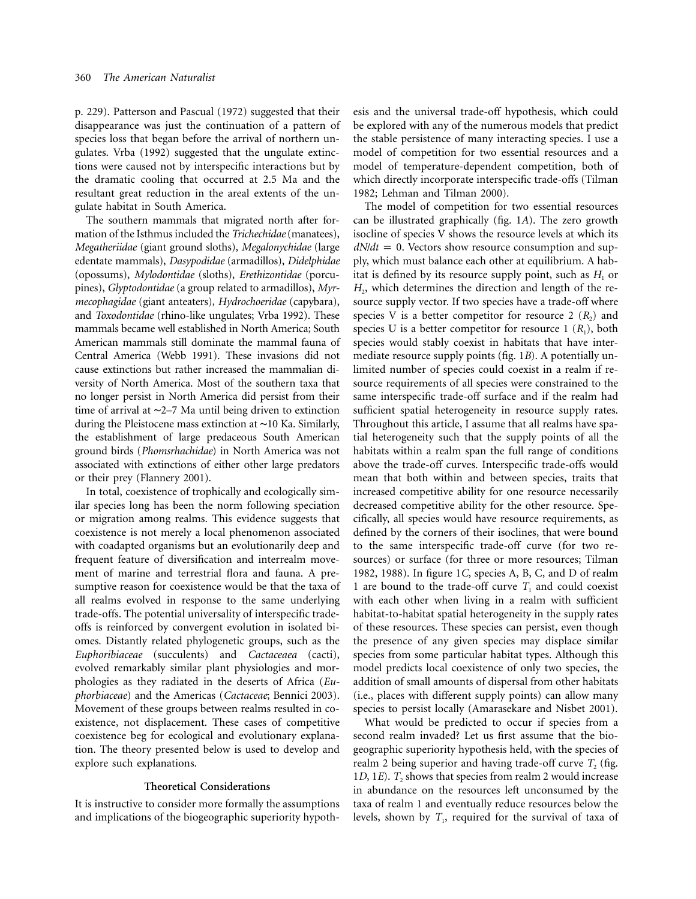p. 229). Patterson and Pascual (1972) suggested that their disappearance was just the continuation of a pattern of species loss that began before the arrival of northern ungulates. Vrba (1992) suggested that the ungulate extinctions were caused not by interspecific interactions but by the dramatic cooling that occurred at 2.5 Ma and the resultant great reduction in the areal extents of the ungulate habitat in South America.

The southern mammals that migrated north after formation of the Isthmus included the *Trichechidae*(manatees), *Megatheriidae* (giant ground sloths), *Megalonychidae* (large edentate mammals), *Dasypodidae* (armadillos), *Didelphidae* (opossums), *Mylodontidae* (sloths), *Erethizontidae* (porcupines), *Glyptodontidae* (a group related to armadillos), *Myrmecophagidae* (giant anteaters), *Hydrochoeridae* (capybara), and *Toxodontidae* (rhino-like ungulates; Vrba 1992). These mammals became well established in North America; South American mammals still dominate the mammal fauna of Central America (Webb 1991). These invasions did not cause extinctions but rather increased the mammalian diversity of North America. Most of the southern taxa that no longer persist in North America did persist from their time of arrival at ∼2–7 Ma until being driven to extinction during the Pleistocene mass extinction at ∼10 Ka. Similarly, the establishment of large predaceous South American ground birds (*Phomsrhachidae*) in North America was not associated with extinctions of either other large predators or their prey (Flannery 2001).

In total, coexistence of trophically and ecologically similar species long has been the norm following speciation or migration among realms. This evidence suggests that coexistence is not merely a local phenomenon associated with coadapted organisms but an evolutionarily deep and frequent feature of diversification and interrealm movement of marine and terrestrial flora and fauna. A presumptive reason for coexistence would be that the taxa of all realms evolved in response to the same underlying trade-offs. The potential universality of interspecific tradeoffs is reinforced by convergent evolution in isolated biomes. Distantly related phylogenetic groups, such as the *Euphoribiaceae* (succulents) and *Cactaceaea* (cacti), evolved remarkably similar plant physiologies and morphologies as they radiated in the deserts of Africa (*Euphorbiaceae*) and the Americas (*Cactaceae*; Bennici 2003). Movement of these groups between realms resulted in coexistence, not displacement. These cases of competitive coexistence beg for ecological and evolutionary explanation. The theory presented below is used to develop and explore such explanations.

#### **Theoretical Considerations**

It is instructive to consider more formally the assumptions and implications of the biogeographic superiority hypothesis and the universal trade-off hypothesis, which could be explored with any of the numerous models that predict the stable persistence of many interacting species. I use a model of competition for two essential resources and a model of temperature-dependent competition, both of which directly incorporate interspecific trade-offs (Tilman 1982; Lehman and Tilman 2000).

The model of competition for two essential resources can be illustrated graphically (fig. 1*A*). The zero growth isocline of species V shows the resource levels at which its  $dN/dt = 0$ . Vectors show resource consumption and supply, which must balance each other at equilibrium. A habitat is defined by its resource supply point, such as  $H_1$  or  $H<sub>2</sub>$ , which determines the direction and length of the resource supply vector. If two species have a trade-off where species V is a better competitor for resource 2  $(R_2)$  and species U is a better competitor for resource 1  $(R_1)$ , both species would stably coexist in habitats that have intermediate resource supply points (fig. 1*B*). A potentially unlimited number of species could coexist in a realm if resource requirements of all species were constrained to the same interspecific trade-off surface and if the realm had sufficient spatial heterogeneity in resource supply rates. Throughout this article, I assume that all realms have spatial heterogeneity such that the supply points of all the habitats within a realm span the full range of conditions above the trade-off curves. Interspecific trade-offs would mean that both within and between species, traits that increased competitive ability for one resource necessarily decreased competitive ability for the other resource. Specifically, all species would have resource requirements, as defined by the corners of their isoclines, that were bound to the same interspecific trade-off curve (for two resources) or surface (for three or more resources; Tilman 1982, 1988). In figure 1*C*, species A, B, C, and D of realm 1 are bound to the trade-off curve  $T_1$  and could coexist with each other when living in a realm with sufficient habitat-to-habitat spatial heterogeneity in the supply rates of these resources. These species can persist, even though the presence of any given species may displace similar species from some particular habitat types. Although this model predicts local coexistence of only two species, the addition of small amounts of dispersal from other habitats (i.e., places with different supply points) can allow many species to persist locally (Amarasekare and Nisbet 2001).

What would be predicted to occur if species from a second realm invaded? Let us first assume that the biogeographic superiority hypothesis held, with the species of realm 2 being superior and having trade-off curve  $T<sub>2</sub>$  (fig. 1*D*, 1*E*). *T*<sub>2</sub> shows that species from realm 2 would increase in abundance on the resources left unconsumed by the taxa of realm 1 and eventually reduce resources below the levels, shown by  $T_1$ , required for the survival of taxa of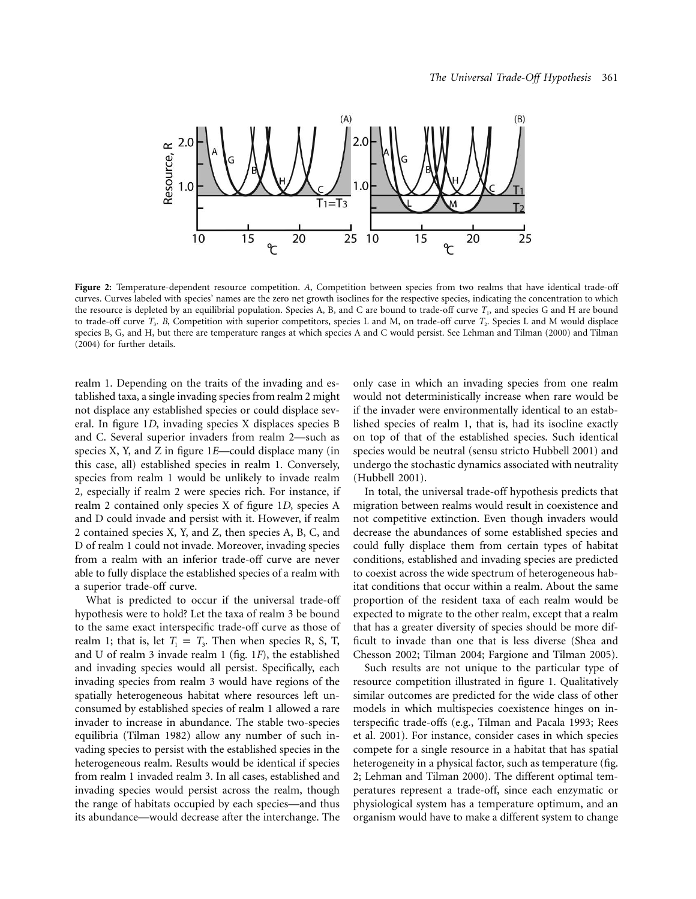

**Figure 2:** Temperature-dependent resource competition. *A*, Competition between species from two realms that have identical trade-off curves. Curves labeled with species' names are the zero net growth isoclines for the respective species, indicating the concentration to which the resource is depleted by an equilibrial population. Species A, B, and C are bound to trade-off curve *T*<sub>1</sub>, and species G and H are bound to trade-off curve  $T<sub>3</sub>$ . *B*, Competition with superior competitors, species L and M, on trade-off curve  $T<sub>2</sub>$ . Species L and M would displace species B, G, and H, but there are temperature ranges at which species A and C would persist. See Lehman and Tilman (2000) and Tilman (2004) for further details.

realm 1. Depending on the traits of the invading and established taxa, a single invading species from realm 2 might not displace any established species or could displace several. In figure 1*D*, invading species X displaces species B and C. Several superior invaders from realm 2—such as species X, Y, and Z in figure 1*E*—could displace many (in this case, all) established species in realm 1. Conversely, species from realm 1 would be unlikely to invade realm 2, especially if realm 2 were species rich. For instance, if realm 2 contained only species X of figure 1*D*, species A and D could invade and persist with it. However, if realm 2 contained species X, Y, and Z, then species A, B, C, and D of realm 1 could not invade. Moreover, invading species from a realm with an inferior trade-off curve are never able to fully displace the established species of a realm with a superior trade-off curve.

What is predicted to occur if the universal trade-off hypothesis were to hold? Let the taxa of realm 3 be bound to the same exact interspecific trade-off curve as those of realm 1; that is, let  $T_1 = T_3$ . Then when species R, S, T, and U of realm 3 invade realm 1 (fig. 1*F*), the established and invading species would all persist. Specifically, each invading species from realm 3 would have regions of the spatially heterogeneous habitat where resources left unconsumed by established species of realm 1 allowed a rare invader to increase in abundance. The stable two-species equilibria (Tilman 1982) allow any number of such invading species to persist with the established species in the heterogeneous realm. Results would be identical if species from realm 1 invaded realm 3. In all cases, established and invading species would persist across the realm, though the range of habitats occupied by each species—and thus its abundance—would decrease after the interchange. The only case in which an invading species from one realm would not deterministically increase when rare would be if the invader were environmentally identical to an established species of realm 1, that is, had its isocline exactly on top of that of the established species. Such identical species would be neutral (sensu stricto Hubbell 2001) and undergo the stochastic dynamics associated with neutrality (Hubbell 2001).

In total, the universal trade-off hypothesis predicts that migration between realms would result in coexistence and not competitive extinction. Even though invaders would decrease the abundances of some established species and could fully displace them from certain types of habitat conditions, established and invading species are predicted to coexist across the wide spectrum of heterogeneous habitat conditions that occur within a realm. About the same proportion of the resident taxa of each realm would be expected to migrate to the other realm, except that a realm that has a greater diversity of species should be more difficult to invade than one that is less diverse (Shea and Chesson 2002; Tilman 2004; Fargione and Tilman 2005).

Such results are not unique to the particular type of resource competition illustrated in figure 1. Qualitatively similar outcomes are predicted for the wide class of other models in which multispecies coexistence hinges on interspecific trade-offs (e.g., Tilman and Pacala 1993; Rees et al. 2001). For instance, consider cases in which species compete for a single resource in a habitat that has spatial heterogeneity in a physical factor, such as temperature (fig. 2; Lehman and Tilman 2000). The different optimal temperatures represent a trade-off, since each enzymatic or physiological system has a temperature optimum, and an organism would have to make a different system to change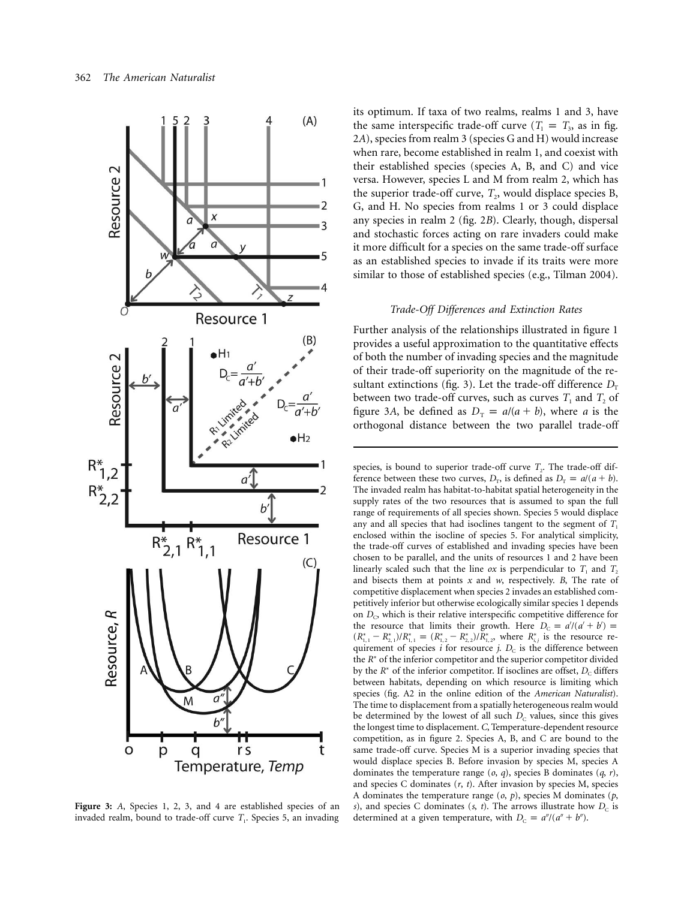

**Figure 3:** *A*, Species 1, 2, 3, and 4 are established species of an invaded realm, bound to trade-off curve  $T<sub>1</sub>$ . Species 5, an invading

its optimum. If taxa of two realms, realms 1 and 3, have the same interspecific trade-off curve  $(T_1 = T_3)$ , as in fig. 2*A*), species from realm 3 (species G and H) would increase when rare, become established in realm 1, and coexist with their established species (species A, B, and C) and vice versa. However, species L and M from realm 2, which has the superior trade-off curve,  $T_2$ , would displace species B, G, and H. No species from realms 1 or 3 could displace any species in realm 2 (fig. 2*B*). Clearly, though, dispersal and stochastic forces acting on rare invaders could make it more difficult for a species on the same trade-off surface as an established species to invade if its traits were more similar to those of established species (e.g., Tilman 2004).

#### *Trade-Off Differences and Extinction Rates*

Further analysis of the relationships illustrated in figure 1 provides a useful approximation to the quantitative effects of both the number of invading species and the magnitude of their trade-off superiority on the magnitude of the resultant extinctions (fig. 3). Let the trade-off difference  $D_T$ between two trade-off curves, such as curves  $T_1$  and  $T_2$  of figure 3*A*, be defined as  $D_T = a/(a + b)$ , where *a* is the orthogonal distance between the two parallel trade-off

species, is bound to superior trade-off curve  $T_2$ . The trade-off difference between these two curves,  $D_T$ , is defined as  $D_T = a/(a + b)$ . The invaded realm has habitat-to-habitat spatial heterogeneity in the supply rates of the two resources that is assumed to span the full range of requirements of all species shown. Species 5 would displace any and all species that had isoclines tangent to the segment of  $T_1$ enclosed within the isocline of species 5. For analytical simplicity, the trade-off curves of established and invading species have been chosen to be parallel, and the units of resources 1 and 2 have been linearly scaled such that the line  $\alpha x$  is perpendicular to  $T_1$  and  $T_2$ and bisects them at points *x* and *w*, respectively. *B*, The rate of competitive displacement when species 2 invades an established competitively inferior but otherwise ecologically similar species 1 depends on  $D_c$ , which is their relative interspecific competitive difference for the resource that limits their growth. Here  $D_c = a' / (a' + b') =$  $(R_{1,1}^* - R_{2,1}^*)/R_{1,1}^* = (R_{1,2}^* - R_{2,2}^*)/R_{1,2}^*$ , where  $R_{i,j}^*$  is the resource requirement of species  $i$  for resource  $j$ .  $D<sub>C</sub>$  is the difference between the  $R<sup>∗</sup>$  of the inferior competitor and the superior competitor divided by the  $R^*$  of the inferior competitor. If isoclines are offset,  $D_C$  differs between habitats, depending on which resource is limiting which species (fig. A2 in the online edition of the *American Naturalist*). The time to displacement from a spatially heterogeneous realm would be determined by the lowest of all such  $D<sub>c</sub>$  values, since this gives the longest time to displacement. *C*, Temperature-dependent resource competition, as in figure 2. Species A, B, and C are bound to the same trade-off curve. Species M is a superior invading species that would displace species B. Before invasion by species M, species A dominates the temperature range (*o*, *q*), species B dominates (*q*, *r*), and species C dominates (*r*, *t*). After invasion by species M, species A dominates the temperature range (*o*, *p*), species M dominates (*p*, *s*), and species C dominates (*s*, *t*). The arrows illustrate how  $D_c$  is determined at a given temperature, with  $D_c = a''/(a'' + b'')$ .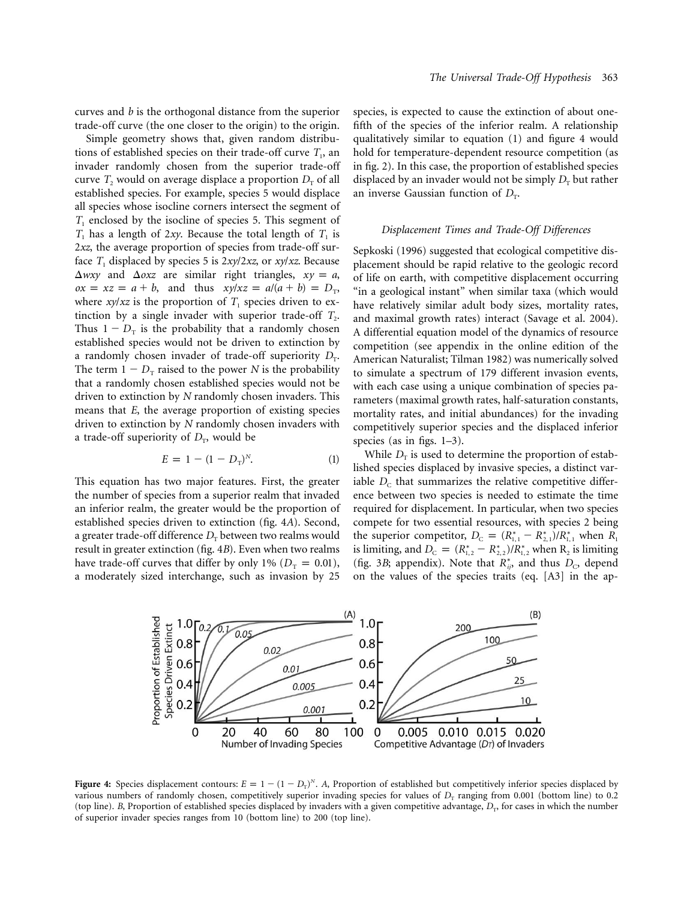curves and *b* is the orthogonal distance from the superior trade-off curve (the one closer to the origin) to the origin.

Simple geometry shows that, given random distributions of established species on their trade-off curve  $T<sub>1</sub>$ , an invader randomly chosen from the superior trade-off curve  $T_2$  would on average displace a proportion  $D_T$  of all established species. For example, species 5 would displace all species whose isocline corners intersect the segment of  $T<sub>1</sub>$  enclosed by the isocline of species 5. This segment of  $T_1$  has a length of 2*xy*. Because the total length of  $T_1$  is 2*xz*, the average proportion of species from trade-off surface  $T_1$  displaced by species 5 is  $2xy/2xz$ , or  $xy/xz$ . Because  $\Delta$ *wxy* and  $\Delta$ *oxz* are similar right triangles,  $xy = a$ ,  $ox = xz = a + b$ , and thus  $xy/xz = a/(a + b) = D_{\tau}$ , where  $xy/xz$  is the proportion of  $T<sub>1</sub>$  species driven to extinction by a single invader with superior trade-off  $T_2$ . Thus  $1 - D<sub>T</sub>$  is the probability that a randomly chosen established species would not be driven to extinction by a randomly chosen invader of trade-off superiority  $D_T$ . The term  $1 - D<sub>T</sub>$  raised to the power N is the probability that a randomly chosen established species would not be driven to extinction by *N* randomly chosen invaders. This means that *E*, the average proportion of existing species driven to extinction by *N* randomly chosen invaders with a trade-off superiority of  $D<sub>T</sub>$ , would be

$$
E = 1 - (1 - D_{\rm T})^N. \tag{1}
$$

This equation has two major features. First, the greater the number of species from a superior realm that invaded an inferior realm, the greater would be the proportion of established species driven to extinction (fig. 4*A*). Second, a greater trade-off difference  $D<sub>T</sub>$  between two realms would result in greater extinction (fig. 4*B*). Even when two realms have trade-off curves that differ by only 1% ( $D<sub>T</sub> = 0.01$ ), a moderately sized interchange, such as invasion by 25

species, is expected to cause the extinction of about onefifth of the species of the inferior realm. A relationship qualitatively similar to equation (1) and figure 4 would hold for temperature-dependent resource competition (as in fig. 2). In this case, the proportion of established species displaced by an invader would not be simply  $D<sub>T</sub>$  but rather an inverse Gaussian function of  $D_T$ .

## *Displacement Times and Trade-Off Differences*

Sepkoski (1996) suggested that ecological competitive displacement should be rapid relative to the geologic record of life on earth, with competitive displacement occurring "in a geological instant" when similar taxa (which would have relatively similar adult body sizes, mortality rates, and maximal growth rates) interact (Savage et al. 2004). A differential equation model of the dynamics of resource competition (see appendix in the online edition of the American Naturalist; Tilman 1982) was numerically solved to simulate a spectrum of 179 different invasion events, with each case using a unique combination of species parameters (maximal growth rates, half-saturation constants, mortality rates, and initial abundances) for the invading competitively superior species and the displaced inferior species (as in figs. 1–3).

While  $D<sub>T</sub>$  is used to determine the proportion of established species displaced by invasive species, a distinct variable  $D_{\rm C}$  that summarizes the relative competitive difference between two species is needed to estimate the time required for displacement. In particular, when two species compete for two essential resources, with species 2 being the superior competitor,  $D_c = (R_{1,1}^* - R_{2,1}^*)/R_{1,1}^*$  when  $R_1$ is limiting, and  $D_c = (R_{1,2}^* - R_{2,2}^*) / R_{1,2}^*$  when  $R_2$  is limiting (fig. 3*B*; appendix). Note that  $R_{ij}^*$ , and thus  $D_c$ , depend on the values of the species traits (eq. [A3] in the ap-



**Figure 4:** Species displacement contours:  $E = 1 - (1 - D_r)^N$ . A, Proportion of established but competitively inferior species displaced by various numbers of randomly chosen, competitively superior invading species for values of  $D<sub>T</sub>$  ranging from 0.001 (bottom line) to 0.2 (top line). *B*, Proportion of established species displaced by invaders with a given competitive advantage,  $D<sub>p</sub>$ , for cases in which the number of superior invader species ranges from 10 (bottom line) to 200 (top line).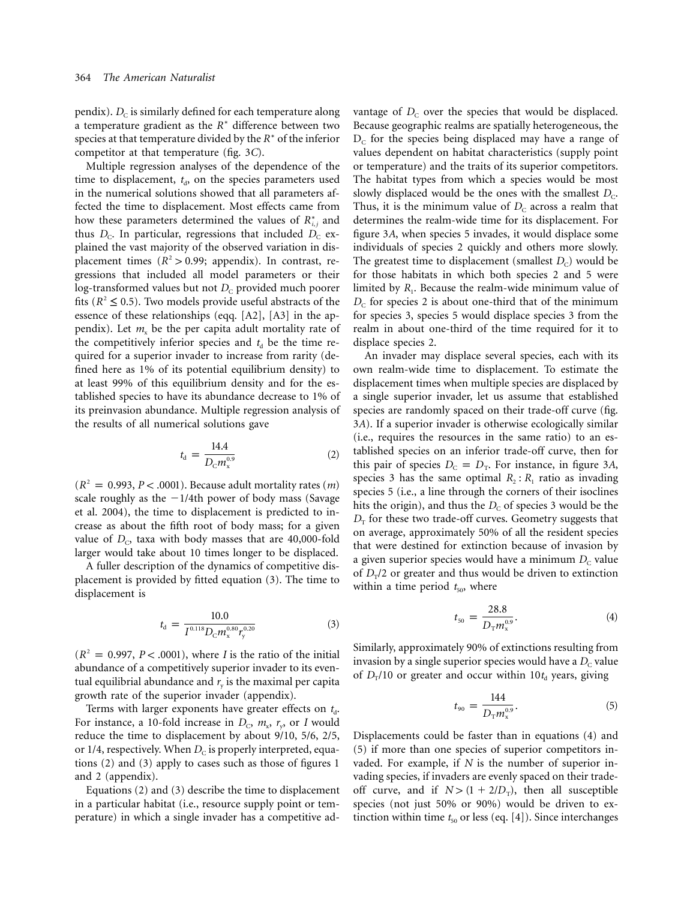pendix).  $D_{\rm C}$  is similarly defined for each temperature along a temperature gradient as the R<sup>\*</sup> difference between two species at that temperature divided by the  $R^*$  of the inferior competitor at that temperature (fig. 3*C*).

Multiple regression analyses of the dependence of the time to displacement,  $t<sub>d</sub>$ , on the species parameters used in the numerical solutions showed that all parameters affected the time to displacement. Most effects came from how these parameters determined the values of  $R_{i,j}^*$  and thus *D*<sub>C</sub>. In particular, regressions that included *D*<sub>C</sub> explained the vast majority of the observed variation in displacement times ( $R^2 > 0.99$ ; appendix). In contrast, regressions that included all model parameters or their log-transformed values but not *D<sub>C</sub>* provided much poorer fits ( $R^2 \leq 0.5$ ). Two models provide useful abstracts of the essence of these relationships (eqq. [A2], [A3] in the appendix). Let  $m<sub>x</sub>$  be the per capita adult mortality rate of the competitively inferior species and  $t<sub>d</sub>$  be the time required for a superior invader to increase from rarity (defined here as 1% of its potential equilibrium density) to at least 99% of this equilibrium density and for the established species to have its abundance decrease to 1% of its preinvasion abundance. Multiple regression analysis of the results of all numerical solutions gave

$$
t_{\rm d} = \frac{14.4}{D_{\rm c} m_{\rm x}^{0.9}}\tag{2}
$$

 $(R^2 = 0.993, P < .0001)$ . Because adult mortality rates  $(m)$ scale roughly as the  $-1/4$ th power of body mass (Savage et al. 2004), the time to displacement is predicted to increase as about the fifth root of body mass; for a given value of  $D_{\rm c}$ , taxa with body masses that are 40,000-fold larger would take about 10 times longer to be displaced.

A fuller description of the dynamics of competitive displacement is provided by fitted equation (3). The time to displacement is

$$
t_{\rm d} = \frac{10.0}{I^{0.118} D_{\rm c} m_{\rm x}^{0.80} r_{\rm y}^{0.20}}
$$
(3)

 $(R^2 = 0.997, P < .0001)$ , where *I* is the ratio of the initial abundance of a competitively superior invader to its eventual equilibrial abundance and  $r<sub>v</sub>$  is the maximal per capita growth rate of the superior invader (appendix).

Terms with larger exponents have greater effects on  $t_d$ . For instance, a 10-fold increase in  $D_c$ ,  $m_x$ ,  $r_y$ , or *I* would reduce the time to displacement by about 9/10, 5/6, 2/5, or 1/4, respectively. When  $D<sub>C</sub>$  is properly interpreted, equations (2) and (3) apply to cases such as those of figures 1 and 2 (appendix).

Equations (2) and (3) describe the time to displacement in a particular habitat (i.e., resource supply point or temperature) in which a single invader has a competitive advantage of  $D_{\rm C}$  over the species that would be displaced. Because geographic realms are spatially heterogeneous, the  $D_{\rm C}$  for the species being displaced may have a range of values dependent on habitat characteristics (supply point or temperature) and the traits of its superior competitors. The habitat types from which a species would be most slowly displaced would be the ones with the smallest  $D_{\rm c}$ . Thus, it is the minimum value of  $D<sub>C</sub>$  across a realm that determines the realm-wide time for its displacement. For figure 3*A*, when species 5 invades, it would displace some individuals of species 2 quickly and others more slowly. The greatest time to displacement (smallest  $D<sub>c</sub>$ ) would be for those habitats in which both species 2 and 5 were limited by  $R_1$ . Because the realm-wide minimum value of  $D<sub>c</sub>$  for species 2 is about one-third that of the minimum for species 3, species 5 would displace species 3 from the realm in about one-third of the time required for it to displace species 2.

An invader may displace several species, each with its own realm-wide time to displacement. To estimate the displacement times when multiple species are displaced by a single superior invader, let us assume that established species are randomly spaced on their trade-off curve (fig. 3*A*). If a superior invader is otherwise ecologically similar (i.e., requires the resources in the same ratio) to an established species on an inferior trade-off curve, then for this pair of species  $D_c = D_T$ . For instance, in figure 3A, species 3 has the same optimal  $R_2 : R_1$  ratio as invading species 5 (i.e., a line through the corners of their isoclines hits the origin), and thus the  $D<sub>C</sub>$  of species 3 would be the  $D_{\text{T}}$  for these two trade-off curves. Geometry suggests that on average, approximately 50% of all the resident species that were destined for extinction because of invasion by a given superior species would have a minimum  $D<sub>C</sub>$  value of  $D_T/2$  or greater and thus would be driven to extinction within a time period  $t_{50}$ , where

$$
t_{50} = \frac{28.8}{D_{\rm T} m_{\rm x}^{0.9}}.\tag{4}
$$

Similarly, approximately 90% of extinctions resulting from invasion by a single superior species would have a  $D<sub>C</sub>$  value of  $D_T/10$  or greater and occur within  $10t_d$  years, giving

$$
t_{90} = \frac{144}{D_{\rm T} m_{\rm x}^{0.9}}.\tag{5}
$$

Displacements could be faster than in equations (4) and (5) if more than one species of superior competitors invaded. For example, if *N* is the number of superior invading species, if invaders are evenly spaced on their tradeoff curve, and if  $N > (1 + 2/D<sub>T</sub>)$ , then all susceptible species (not just 50% or 90%) would be driven to extinction within time  $t_{50}$  or less (eq. [4]). Since interchanges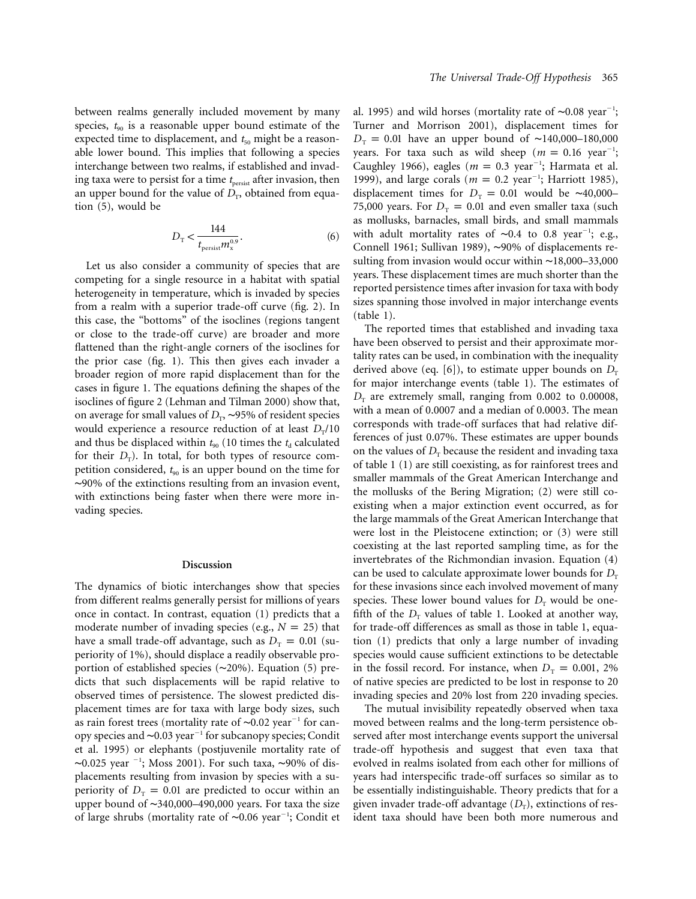between realms generally included movement by many species,  $t_{90}$  is a reasonable upper bound estimate of the expected time to displacement, and  $t_{50}$  might be a reasonable lower bound. This implies that following a species interchange between two realms, if established and invading taxa were to persist for a time  $t_{\text{persistent}}$  after invasion, then an upper bound for the value of  $D<sub>T</sub>$ , obtained from equation (5), would be

$$
D_{\rm T} < \frac{144}{t_{\rm persist} m_{\rm x}^{0.9}}.\tag{6}
$$

Let us also consider a community of species that are competing for a single resource in a habitat with spatial heterogeneity in temperature, which is invaded by species from a realm with a superior trade-off curve (fig. 2). In this case, the "bottoms" of the isoclines (regions tangent or close to the trade-off curve) are broader and more flattened than the right-angle corners of the isoclines for the prior case (fig. 1). This then gives each invader a broader region of more rapid displacement than for the cases in figure 1. The equations defining the shapes of the isoclines of figure 2 (Lehman and Tilman 2000) show that, on average for small values of *D*<sub>T</sub>, ~95% of resident species would experience a resource reduction of at least  $D_T/10$ and thus be displaced within  $t_{90}$  (10 times the  $t_d$  calculated for their  $D_T$ ). In total, for both types of resource competition considered,  $t_{90}$  is an upper bound on the time for ∼90% of the extinctions resulting from an invasion event, with extinctions being faster when there were more invading species.

#### **Discussion**

The dynamics of biotic interchanges show that species from different realms generally persist for millions of years once in contact. In contrast, equation (1) predicts that a moderate number of invading species (e.g.,  $N = 25$ ) that have a small trade-off advantage, such as  $D<sub>T</sub> = 0.01$  (superiority of 1%), should displace a readily observable proportion of established species (∼20%). Equation (5) predicts that such displacements will be rapid relative to observed times of persistence. The slowest predicted displacement times are for taxa with large body sizes, such as rain forest trees (mortality rate of ~0.02 year<sup>-1</sup> for canopy species and ∼0.03 year"<sup>1</sup> for subcanopy species; Condit et al. 1995) or elephants (postjuvenile mortality rate of ∼0.025 year "<sup>1</sup> ; Moss 2001). For such taxa, ∼90% of displacements resulting from invasion by species with a superiority of  $D<sub>T</sub> = 0.01$  are predicted to occur within an upper bound of ∼340,000–490,000 years. For taxa the size of large shrubs (mortality rate of ∼0.06 year"<sup>1</sup> ; Condit et

al. 1995) and wild horses (mortality rate of ~0.08 year<sup>-1</sup>; Turner and Morrison 2001), displacement times for  $D_T = 0.01$  have an upper bound of ~140,000–180,000 years. For taxa such as wild sheep ( $m = 0.16$  year<sup>-1</sup>; Caughley 1966), eagles ( $m = 0.3$  year<sup>-1</sup>; Harmata et al. 1999), and large corals ( $m = 0.2$  year<sup>-1</sup>; Harriott 1985), displacement times for  $D_T = 0.01$  would be ~40,000– 75,000 years. For  $D<sub>T</sub> = 0.01$  and even smaller taxa (such as mollusks, barnacles, small birds, and small mammals with adult mortality rates of ~0.4 to 0.8 year<sup>-1</sup>; e.g., Connell 1961; Sullivan 1989), ∼90% of displacements resulting from invasion would occur within ∼18,000–33,000 years. These displacement times are much shorter than the reported persistence times after invasion for taxa with body sizes spanning those involved in major interchange events (table 1).

The reported times that established and invading taxa have been observed to persist and their approximate mortality rates can be used, in combination with the inequality derived above (eq. [6]), to estimate upper bounds on  $D<sub>T</sub>$ for major interchange events (table 1). The estimates of  $D<sub>T</sub>$  are extremely small, ranging from 0.002 to 0.00008, with a mean of 0.0007 and a median of 0.0003. The mean corresponds with trade-off surfaces that had relative differences of just 0.07%. These estimates are upper bounds on the values of  $D<sub>T</sub>$  because the resident and invading taxa of table 1 (1) are still coexisting, as for rainforest trees and smaller mammals of the Great American Interchange and the mollusks of the Bering Migration; (2) were still coexisting when a major extinction event occurred, as for the large mammals of the Great American Interchange that were lost in the Pleistocene extinction; or (3) were still coexisting at the last reported sampling time, as for the invertebrates of the Richmondian invasion. Equation (4) can be used to calculate approximate lower bounds for  $D_T$ for these invasions since each involved movement of many species. These lower bound values for  $D<sub>T</sub>$  would be onefifth of the  $D<sub>T</sub>$  values of table 1. Looked at another way, for trade-off differences as small as those in table 1, equation (1) predicts that only a large number of invading species would cause sufficient extinctions to be detectable in the fossil record. For instance, when  $D_T = 0.001$ , 2% of native species are predicted to be lost in response to 20 invading species and 20% lost from 220 invading species.

The mutual invisibility repeatedly observed when taxa moved between realms and the long-term persistence observed after most interchange events support the universal trade-off hypothesis and suggest that even taxa that evolved in realms isolated from each other for millions of years had interspecific trade-off surfaces so similar as to be essentially indistinguishable. Theory predicts that for a given invader trade-off advantage  $(D_T)$ , extinctions of resident taxa should have been both more numerous and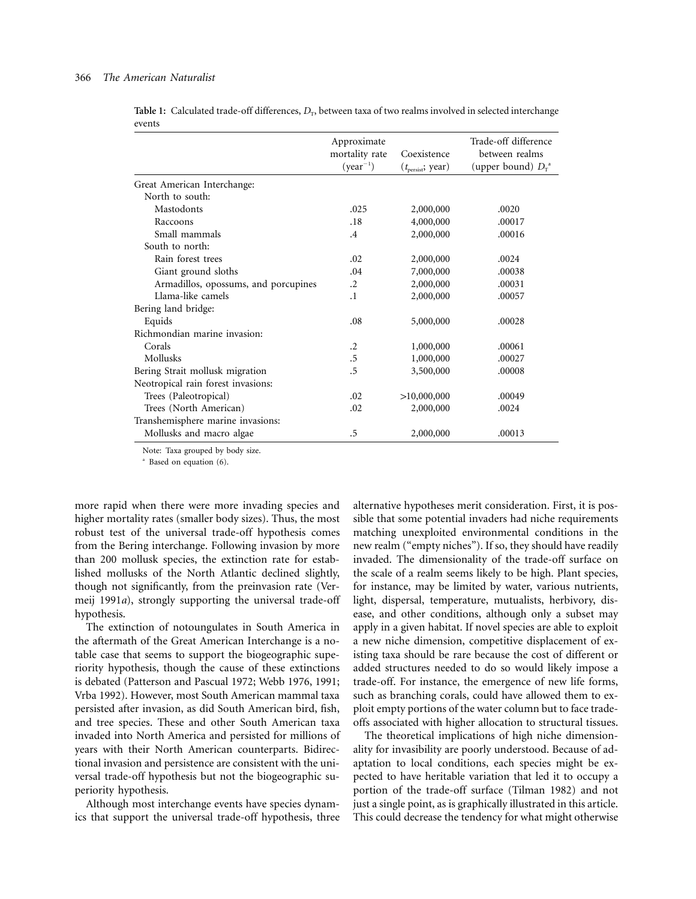# 366 *The American Naturalist*

Table 1: Calculated trade-off differences,  $D_T$ , between taxa of two realms involved in selected interchange events

|                                      | Approximate<br>mortality rate<br>$(year^{-1})$ | Coexistence<br>$(t_{\text{persistent}};$ year) | Trade-off difference<br>between realms<br>(upper bound) $D_{\rm T}^{\rm a}$ |
|--------------------------------------|------------------------------------------------|------------------------------------------------|-----------------------------------------------------------------------------|
| Great American Interchange:          |                                                |                                                |                                                                             |
| North to south:                      |                                                |                                                |                                                                             |
| Mastodonts                           | .025                                           | 2,000,000                                      | .0020                                                                       |
| Raccoons                             | .18                                            | 4,000,000                                      | .00017                                                                      |
| Small mammals                        | $\cdot$ 4                                      | 2,000,000                                      | .00016                                                                      |
| South to north:                      |                                                |                                                |                                                                             |
| Rain forest trees                    | .02                                            | 2,000,000                                      | .0024                                                                       |
| Giant ground sloths                  | .04                                            | 7,000,000                                      | .00038                                                                      |
| Armadillos, opossums, and porcupines | $\cdot$                                        | 2,000,000                                      | .00031                                                                      |
| Llama-like camels                    | $\cdot$ 1                                      | 2,000,000                                      | .00057                                                                      |
| Bering land bridge:                  |                                                |                                                |                                                                             |
| Equids                               | .08                                            | 5,000,000                                      | .00028                                                                      |
| Richmondian marine invasion:         |                                                |                                                |                                                                             |
| Corals                               | $\cdot$ .2                                     | 1,000,000                                      | .00061                                                                      |
| Mollusks                             | $.5\,$                                         | 1,000,000                                      | .00027                                                                      |
| Bering Strait mollusk migration      | .5                                             | 3,500,000                                      | .00008                                                                      |
| Neotropical rain forest invasions:   |                                                |                                                |                                                                             |
| Trees (Paleotropical)                | .02                                            | >10,000,000                                    | .00049                                                                      |
| Trees (North American)               | .02                                            | 2,000,000                                      | .0024                                                                       |
| Transhemisphere marine invasions:    |                                                |                                                |                                                                             |
| Mollusks and macro algae             | .5                                             | 2,000,000                                      | .00013                                                                      |

Note: Taxa grouped by body size.

<sup>a</sup> Based on equation (6).

more rapid when there were more invading species and higher mortality rates (smaller body sizes). Thus, the most robust test of the universal trade-off hypothesis comes from the Bering interchange. Following invasion by more than 200 mollusk species, the extinction rate for established mollusks of the North Atlantic declined slightly, though not significantly, from the preinvasion rate (Vermeij 1991*a*), strongly supporting the universal trade-off hypothesis.

The extinction of notoungulates in South America in the aftermath of the Great American Interchange is a notable case that seems to support the biogeographic superiority hypothesis, though the cause of these extinctions is debated (Patterson and Pascual 1972; Webb 1976, 1991; Vrba 1992). However, most South American mammal taxa persisted after invasion, as did South American bird, fish, and tree species. These and other South American taxa invaded into North America and persisted for millions of years with their North American counterparts. Bidirectional invasion and persistence are consistent with the universal trade-off hypothesis but not the biogeographic superiority hypothesis.

Although most interchange events have species dynamics that support the universal trade-off hypothesis, three

alternative hypotheses merit consideration. First, it is possible that some potential invaders had niche requirements matching unexploited environmental conditions in the new realm ("empty niches"). If so, they should have readily invaded. The dimensionality of the trade-off surface on the scale of a realm seems likely to be high. Plant species, for instance, may be limited by water, various nutrients, light, dispersal, temperature, mutualists, herbivory, disease, and other conditions, although only a subset may apply in a given habitat. If novel species are able to exploit a new niche dimension, competitive displacement of existing taxa should be rare because the cost of different or added structures needed to do so would likely impose a trade-off. For instance, the emergence of new life forms, such as branching corals, could have allowed them to exploit empty portions of the water column but to face tradeoffs associated with higher allocation to structural tissues.

The theoretical implications of high niche dimensionality for invasibility are poorly understood. Because of adaptation to local conditions, each species might be expected to have heritable variation that led it to occupy a portion of the trade-off surface (Tilman 1982) and not just a single point, as is graphically illustrated in this article. This could decrease the tendency for what might otherwise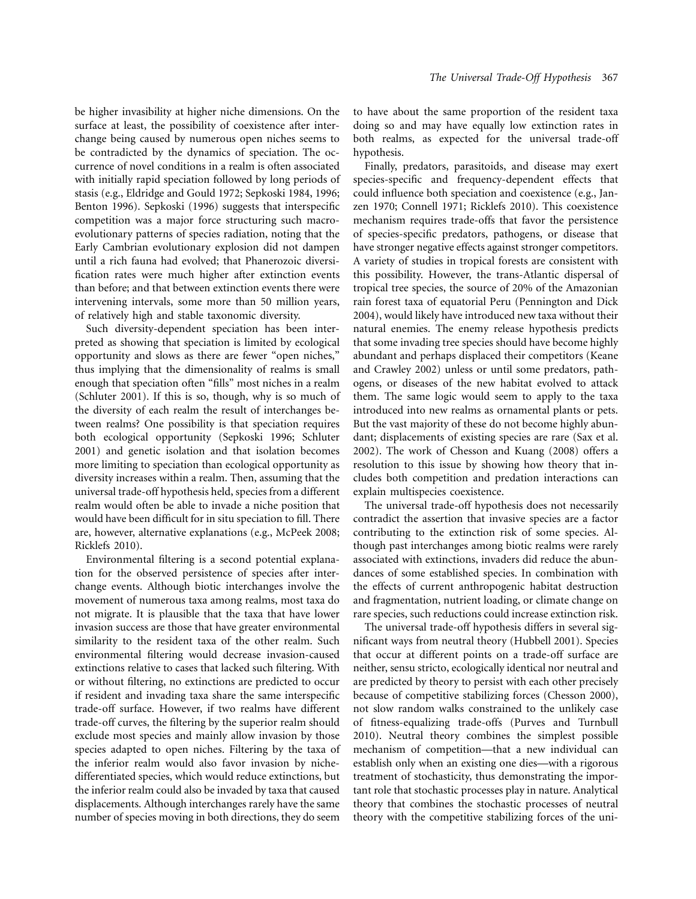be higher invasibility at higher niche dimensions. On the surface at least, the possibility of coexistence after interchange being caused by numerous open niches seems to be contradicted by the dynamics of speciation. The occurrence of novel conditions in a realm is often associated with initially rapid speciation followed by long periods of stasis (e.g., Eldridge and Gould 1972; Sepkoski 1984, 1996; Benton 1996). Sepkoski (1996) suggests that interspecific competition was a major force structuring such macroevolutionary patterns of species radiation, noting that the Early Cambrian evolutionary explosion did not dampen until a rich fauna had evolved; that Phanerozoic diversification rates were much higher after extinction events than before; and that between extinction events there were intervening intervals, some more than 50 million years, of relatively high and stable taxonomic diversity.

Such diversity-dependent speciation has been interpreted as showing that speciation is limited by ecological opportunity and slows as there are fewer "open niches," thus implying that the dimensionality of realms is small enough that speciation often "fills" most niches in a realm (Schluter 2001). If this is so, though, why is so much of the diversity of each realm the result of interchanges between realms? One possibility is that speciation requires both ecological opportunity (Sepkoski 1996; Schluter 2001) and genetic isolation and that isolation becomes more limiting to speciation than ecological opportunity as diversity increases within a realm. Then, assuming that the universal trade-off hypothesis held, species from a different realm would often be able to invade a niche position that would have been difficult for in situ speciation to fill. There are, however, alternative explanations (e.g., McPeek 2008; Ricklefs 2010).

Environmental filtering is a second potential explanation for the observed persistence of species after interchange events. Although biotic interchanges involve the movement of numerous taxa among realms, most taxa do not migrate. It is plausible that the taxa that have lower invasion success are those that have greater environmental similarity to the resident taxa of the other realm. Such environmental filtering would decrease invasion-caused extinctions relative to cases that lacked such filtering. With or without filtering, no extinctions are predicted to occur if resident and invading taxa share the same interspecific trade-off surface. However, if two realms have different trade-off curves, the filtering by the superior realm should exclude most species and mainly allow invasion by those species adapted to open niches. Filtering by the taxa of the inferior realm would also favor invasion by nichedifferentiated species, which would reduce extinctions, but the inferior realm could also be invaded by taxa that caused displacements. Although interchanges rarely have the same number of species moving in both directions, they do seem

to have about the same proportion of the resident taxa doing so and may have equally low extinction rates in both realms, as expected for the universal trade-off hypothesis.

Finally, predators, parasitoids, and disease may exert species-specific and frequency-dependent effects that could influence both speciation and coexistence (e.g., Janzen 1970; Connell 1971; Ricklefs 2010). This coexistence mechanism requires trade-offs that favor the persistence of species-specific predators, pathogens, or disease that have stronger negative effects against stronger competitors. A variety of studies in tropical forests are consistent with this possibility. However, the trans-Atlantic dispersal of tropical tree species, the source of 20% of the Amazonian rain forest taxa of equatorial Peru (Pennington and Dick 2004), would likely have introduced new taxa without their natural enemies. The enemy release hypothesis predicts that some invading tree species should have become highly abundant and perhaps displaced their competitors (Keane and Crawley 2002) unless or until some predators, pathogens, or diseases of the new habitat evolved to attack them. The same logic would seem to apply to the taxa introduced into new realms as ornamental plants or pets. But the vast majority of these do not become highly abundant; displacements of existing species are rare (Sax et al. 2002). The work of Chesson and Kuang (2008) offers a resolution to this issue by showing how theory that includes both competition and predation interactions can explain multispecies coexistence.

The universal trade-off hypothesis does not necessarily contradict the assertion that invasive species are a factor contributing to the extinction risk of some species. Although past interchanges among biotic realms were rarely associated with extinctions, invaders did reduce the abundances of some established species. In combination with the effects of current anthropogenic habitat destruction and fragmentation, nutrient loading, or climate change on rare species, such reductions could increase extinction risk.

The universal trade-off hypothesis differs in several significant ways from neutral theory (Hubbell 2001). Species that occur at different points on a trade-off surface are neither, sensu stricto, ecologically identical nor neutral and are predicted by theory to persist with each other precisely because of competitive stabilizing forces (Chesson 2000), not slow random walks constrained to the unlikely case of fitness-equalizing trade-offs (Purves and Turnbull 2010). Neutral theory combines the simplest possible mechanism of competition—that a new individual can establish only when an existing one dies—with a rigorous treatment of stochasticity, thus demonstrating the important role that stochastic processes play in nature. Analytical theory that combines the stochastic processes of neutral theory with the competitive stabilizing forces of the uni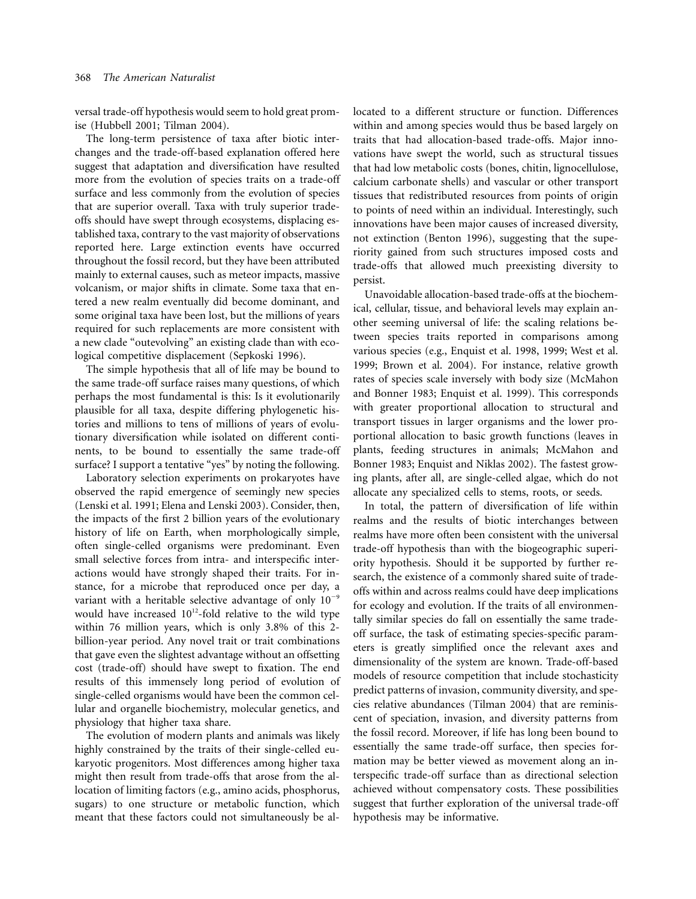versal trade-off hypothesis would seem to hold great promise (Hubbell 2001; Tilman 2004).

The long-term persistence of taxa after biotic interchanges and the trade-off-based explanation offered here suggest that adaptation and diversification have resulted more from the evolution of species traits on a trade-off surface and less commonly from the evolution of species that are superior overall. Taxa with truly superior tradeoffs should have swept through ecosystems, displacing established taxa, contrary to the vast majority of observations reported here. Large extinction events have occurred throughout the fossil record, but they have been attributed mainly to external causes, such as meteor impacts, massive volcanism, or major shifts in climate. Some taxa that entered a new realm eventually did become dominant, and some original taxa have been lost, but the millions of years required for such replacements are more consistent with a new clade "outevolving" an existing clade than with ecological competitive displacement (Sepkoski 1996).

The simple hypothesis that all of life may be bound to the same trade-off surface raises many questions, of which perhaps the most fundamental is this: Is it evolutionarily plausible for all taxa, despite differing phylogenetic histories and millions to tens of millions of years of evolutionary diversification while isolated on different continents, to be bound to essentially the same trade-off surface? I support a tentative "yes" by noting the following.

Laboratory selection experiments on prokaryotes have observed the rapid emergence of seemingly new species (Lenski et al. 1991; Elena and Lenski 2003). Consider, then, the impacts of the first 2 billion years of the evolutionary history of life on Earth, when morphologically simple, often single-celled organisms were predominant. Even small selective forces from intra- and interspecific interactions would have strongly shaped their traits. For instance, for a microbe that reproduced once per day, a variant with a heritable selective advantage of only  $10^{-9}$ would have increased  $10^{12}$ -fold relative to the wild type within 76 million years, which is only 3.8% of this 2 billion-year period. Any novel trait or trait combinations that gave even the slightest advantage without an offsetting cost (trade-off) should have swept to fixation. The end results of this immensely long period of evolution of single-celled organisms would have been the common cellular and organelle biochemistry, molecular genetics, and physiology that higher taxa share.

The evolution of modern plants and animals was likely highly constrained by the traits of their single-celled eukaryotic progenitors. Most differences among higher taxa might then result from trade-offs that arose from the allocation of limiting factors (e.g., amino acids, phosphorus, sugars) to one structure or metabolic function, which meant that these factors could not simultaneously be allocated to a different structure or function. Differences within and among species would thus be based largely on traits that had allocation-based trade-offs. Major innovations have swept the world, such as structural tissues that had low metabolic costs (bones, chitin, lignocellulose, calcium carbonate shells) and vascular or other transport tissues that redistributed resources from points of origin to points of need within an individual. Interestingly, such innovations have been major causes of increased diversity, not extinction (Benton 1996), suggesting that the superiority gained from such structures imposed costs and trade-offs that allowed much preexisting diversity to persist.

Unavoidable allocation-based trade-offs at the biochemical, cellular, tissue, and behavioral levels may explain another seeming universal of life: the scaling relations between species traits reported in comparisons among various species (e.g., Enquist et al. 1998, 1999; West et al. 1999; Brown et al. 2004). For instance, relative growth rates of species scale inversely with body size (McMahon and Bonner 1983; Enquist et al. 1999). This corresponds with greater proportional allocation to structural and transport tissues in larger organisms and the lower proportional allocation to basic growth functions (leaves in plants, feeding structures in animals; McMahon and Bonner 1983; Enquist and Niklas 2002). The fastest growing plants, after all, are single-celled algae, which do not allocate any specialized cells to stems, roots, or seeds.

In total, the pattern of diversification of life within realms and the results of biotic interchanges between realms have more often been consistent with the universal trade-off hypothesis than with the biogeographic superiority hypothesis. Should it be supported by further research, the existence of a commonly shared suite of tradeoffs within and across realms could have deep implications for ecology and evolution. If the traits of all environmentally similar species do fall on essentially the same tradeoff surface, the task of estimating species-specific parameters is greatly simplified once the relevant axes and dimensionality of the system are known. Trade-off-based models of resource competition that include stochasticity predict patterns of invasion, community diversity, and species relative abundances (Tilman 2004) that are reminiscent of speciation, invasion, and diversity patterns from the fossil record. Moreover, if life has long been bound to essentially the same trade-off surface, then species formation may be better viewed as movement along an interspecific trade-off surface than as directional selection achieved without compensatory costs. These possibilities suggest that further exploration of the universal trade-off hypothesis may be informative.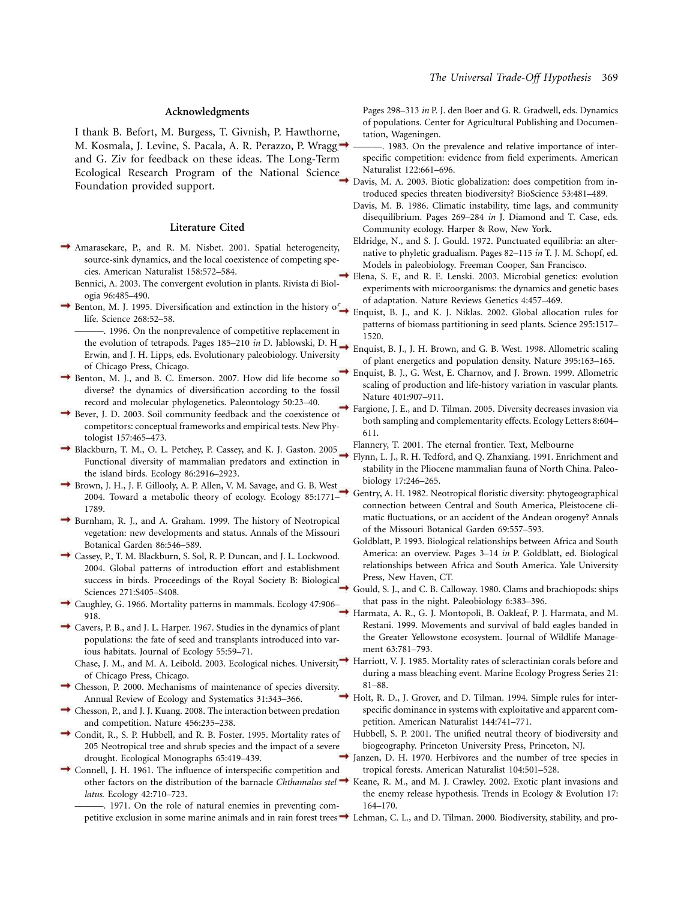#### **Acknowledgments**

I thank B. Befort, M. Burgess, T. Givnish, P. Hawthorne, M. Kosmala, J. Levine, S. Pacala, A. R. Perazzo, P. Wragg  $\rightarrow$ and G. Ziv for feedback on these ideas. The Long-Term Ecological Research Program of the National Science Foundation provided support.

#### **Literature Cited**

- Amarasekare, P., and R. M. Nisbet. 2001. Spatial heterogeneity, source-sink dynamics, and the local coexistence of competing species. American Naturalist 158:572–584.
	- Bennici, A. 2003. The convergent evolution in plants. Rivista di Biologia 96:485–490.
- $B$ enton, M. J. 1995. Diversification and extinction in the history of adaptation. Nature Reviews Genetics 4:457–469. life. Science 268:52–58.
	- . 1996. On the nonprevalence of competitive replacement in the evolution of tetrapods. Pages 185–210 *in* D. Jablowski, D. H. Erwin, and J. H. Lipps, eds. Evolutionary paleobiology. University of Chicago Press, Chicago.
- Benton, M. J., and B. C. Emerson. 2007. How did life become so diverse? the dynamics of diversification according to the fossil record and molecular phylogenetics. Paleontology 50:23–40.
- Bever, J. D. 2003. Soil community feedback and the coexistence of competitors: conceptual frameworks and empirical tests. New Phytologist 157:465–473.
- Blackburn, T. M., O. L. Petchey, P. Cassey, and K. J. Gaston. 2005. Functional diversity of mammalian predators and extinction in the island birds. Ecology 86:2916–2923.
- Brown, J. H., J. F. Gillooly, A. P. Allen, V. M. Savage, and G. B. West. 2004. Toward a metabolic theory of ecology. Ecology 85:1771– 1789.
- Burnham, R. J., and A. Graham. 1999. The history of Neotropical vegetation: new developments and status. Annals of the Missouri Botanical Garden 86:546–589.
- Cassey, P., T. M. Blackburn, S. Sol, R. P. Duncan, and J. L. Lockwood. 2004. Global patterns of introduction effort and establishment success in birds. Proceedings of the Royal Society B: Biological Sciences 271:S405–S408.
- Caughley, G. 1966. Mortality patterns in mammals. Ecology 47:906– 918.
- Cavers, P. B., and J. L. Harper. 1967. Studies in the dynamics of plant populations: the fate of seed and transplants introduced into various habitats. Journal of Ecology 55:59–71.
	- of Chicago Press, Chicago.
- Chesson, P. 2000. Mechanisms of maintenance of species diversity. Annual Review of Ecology and Systematics 31:343–366.
- Chesson, P., and J. J. Kuang. 2008. The interaction between predation and competition. Nature 456:235–238.
- Condit, R., S. P. Hubbell, and R. B. Foster. 1995. Mortality rates of 205 Neotropical tree and shrub species and the impact of a severe drought. Ecological Monographs 65:419–439.
- Connell, J. H. 1961. The influence of interspecific competition and *latus*. Ecology 42:710–723.
	- -. 1971. On the role of natural enemies in preventing competitive exclusion in some marine animals and in rain forest trees  $\rightarrow$  Lehman, C. L., and D. Tilman. 2000. Biodiversity, stability, and pro-

Pages 298–313 *in* P. J. den Boer and G. R. Gradwell, eds. Dynamics of populations. Center for Agricultural Publishing and Documentation, Wageningen.

- -. 1983. On the prevalence and relative importance of interspecific competition: evidence from field experiments. American Naturalist 122:661–696.
- Davis, M. A. 2003. Biotic globalization: does competition from introduced species threaten biodiversity? BioScience 53:481–489.
	- Davis, M. B. 1986. Climatic instability, time lags, and community disequilibrium. Pages 269–284 *in* J. Diamond and T. Case, eds. Community ecology. Harper & Row, New York.
	- Eldridge, N., and S. J. Gould. 1972. Punctuated equilibria: an alternative to phyletic gradualism. Pages 82–115 *in* T. J. M. Schopf, ed. Models in paleobiology. Freeman Cooper, San Francisco.
- Elena, S. F., and R. E. Lenski. 2003. Microbial genetics: evolution experiments with microorganisms: the dynamics and genetic bases
	- Enquist, B. J., and K. J. Niklas. 2002. Global allocation rules for patterns of biomass partitioning in seed plants. Science 295:1517– 1520.
- Enquist, B. J., J. H. Brown, and G. B. West. 1998. Allometric scaling of plant energetics and population density. Nature 395:163–165.
	- Enquist, B. J., G. West, E. Charnov, and J. Brown. 1999. Allometric scaling of production and life-history variation in vascular plants. Nature 401:907–911.
	- Fargione, J. E., and D. Tilman. 2005. Diversity decreases invasion via both sampling and complementarity effects. Ecology Letters 8:604– 611.
	- Flannery, T. 2001. The eternal frontier. Text, Melbourne
	- Flynn, L. J., R. H. Tedford, and Q. Zhanxiang. 1991. Enrichment and stability in the Pliocene mammalian fauna of North China. Paleobiology 17:246–265.
	- Gentry, A. H. 1982. Neotropical floristic diversity: phytogeographical connection between Central and South America, Pleistocene climatic fluctuations, or an accident of the Andean orogeny? Annals of the Missouri Botanical Garden 69:557–593.
	- Goldblatt, P. 1993. Biological relationships between Africa and South America: an overview. Pages 3–14 *in* P. Goldblatt, ed. Biological relationships between Africa and South America. Yale University Press, New Haven, CT.
	- Gould, S. J., and C. B. Calloway. 1980. Clams and brachiopods: ships that pass in the night. Paleobiology 6:383–396.
- Harmata, A. R., G. J. Montopoli, B. Oakleaf, P. J. Harmata, and M. Restani. 1999. Movements and survival of bald eagles banded in the Greater Yellowstone ecosystem. Journal of Wildlife Management 63:781–793.
- Chase, J. M., and M. A. Leibold. 2003. Ecological niches. University Harriott, V. J. 1985. Mortality rates of scleractinian corals before and during a mass bleaching event. Marine Ecology Progress Series 21: 81–88.
	- Holt, R. D., J. Grover, and D. Tilman. 1994. Simple rules for interspecific dominance in systems with exploitative and apparent competition. American Naturalist 144:741–771.
		- Hubbell, S. P. 2001. The unified neutral theory of biodiversity and biogeography. Princeton University Press, Princeton, NJ.
		- Janzen, D. H. 1970. Herbivores and the number of tree species in tropical forests. American Naturalist 104:501–528.
	- other factors on the distribution of the barnacle *Chthamalus stel-*Keane, R. M., and M. J. Crawley. 2002. Exotic plant invasions and the enemy release hypothesis. Trends in Ecology & Evolution 17: 164–170.
		-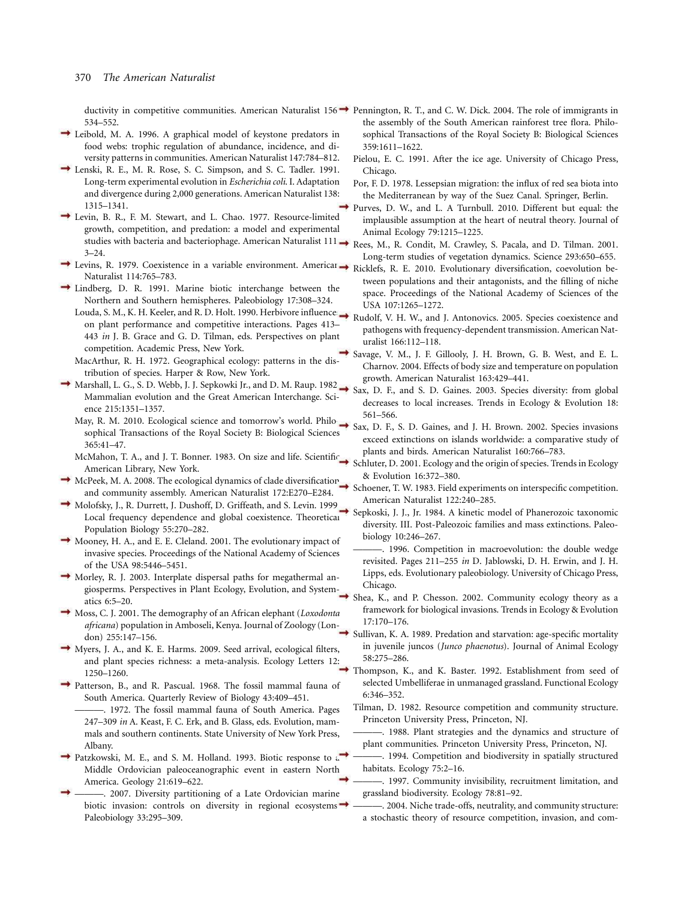ductivity in competitive communities. American Naturalist 156 <sup>></sup> Pennington, R. T., and C. W. Dick. 2004. The role of immigrants in 534–552.

- Leibold, M. A. 1996. A graphical model of keystone predators in food webs: trophic regulation of abundance, incidence, and diversity patterns in communities. American Naturalist 147:784–812.
- Lenski, R. E., M. R. Rose, S. C. Simpson, and S. C. Tadler. 1991. Long-term experimental evolution in *Escherichia coli*. I. Adaptation and divergence during 2,000 generations. American Naturalist 138: 1315–1341.
- Levin, B. R., F. M. Stewart, and L. Chao. 1977. Resource-limited growth, competition, and predation: a model and experimental studies with bacteria and bacteriophage. American Naturalist  $111 \rightarrow$ 3–24.
- Levins, R. 1979. Coexistence in a variable environment. American Ricklefs, R. E. 2010. Evolutionary diversification, coevolution be-Naturalist 114:765–783.

Lindberg, D. R. 1991. Marine biotic interchange between the Northern and Southern hemispheres. Paleobiology 17:308–324.

- Louda, S. M., K. H. Keeler, and R. D. Holt. 1990. Herbivore influence on plant performance and competitive interactions. Pages 413– 443 *in* J. B. Grace and G. D. Tilman, eds. Perspectives on plant competition. Academic Press, New York.
- MacArthur, R. H. 1972. Geographical ecology: patterns in the distribution of species. Harper & Row, New York.
- Marshall, L. G., S. D. Webb, J. J. Sepkowki Jr., and D. M. Raup. 1982. Mammalian evolution and the Great American Interchange. Science 215:1351–1357.
	- May, R. M. 2010. Ecological science and tomorrow's world. Philo sophical Transactions of the Royal Society B: Biological Sciences 365:41–47.
	- McMahon, T. A., and J. T. Bonner. 1983. On size and life. Scientific American Library, New York.
- McPeek, M. A. 2008. The ecological dynamics of clade diversification and community assembly. American Naturalist 172:E270–E284.
- Molofsky, J., R. Durrett, J. Dushoff, D. Griffeath, and S. Levin. 1999. Local frequency dependence and global coexistence. Theoretical Population Biology 55:270–282.
- Mooney, H. A., and E. E. Cleland. 2001. The evolutionary impact of invasive species. Proceedings of the National Academy of Sciences of the USA 98:5446–5451.
- Morley, R. J. 2003. Interplate dispersal paths for megathermal angiosperms. Perspectives in Plant Ecology, Evolution, and Systematics 6:5–20.
- Moss, C. J. 2001. The demography of an African elephant (*Loxodonta africana*) population in Amboseli, Kenya. Journal of Zoology (London) 255:147–156.
- Myers, J. A., and K. E. Harms. 2009. Seed arrival, ecological filters, and plant species richness: a meta-analysis. Ecology Letters 12: 1250–1260.
- Patterson, B., and R. Pascual. 1968. The fossil mammal fauna of South America. Quarterly Review of Biology 43:409–451.
	- -. 1972. The fossil mammal fauna of South America. Pages 247–309 *in* A. Keast, F. C. Erk, and B. Glass, eds. Evolution, mammals and southern continents. State University of New York Press, Albany.
- Patzkowski, M. E., and S. M. Holland. 1993. Biotic response to  $\mathfrak{a}$ Middle Ordovician paleoceanographic event in eastern North America. Geology 21:619–622.
- ———. 2007. Diversity partitioning of a Late Ordovician marine biotic invasion: controls on diversity in regional ecosystems. Paleobiology 33:295–309.
- the assembly of the South American rainforest tree flora. Philosophical Transactions of the Royal Society B: Biological Sciences 359:1611–1622.
- Pielou, E. C. 1991. After the ice age. University of Chicago Press, Chicago.
- Por, F. D. 1978. Lessepsian migration: the influx of red sea biota into the Mediterranean by way of the Suez Canal. Springer, Berlin.
- Purves, D. W., and L. A Turnbull. 2010. Different but equal: the implausible assumption at the heart of neutral theory. Journal of Animal Ecology 79:1215–1225.
- Rees, M., R. Condit, M. Crawley, S. Pacala, and D. Tilman. 2001. Long-term studies of vegetation dynamics. Science 293:650–655.
- tween populations and their antagonists, and the filling of niche space. Proceedings of the National Academy of Sciences of the USA 107:1265–1272.
- Rudolf, V. H. W., and J. Antonovics. 2005. Species coexistence and pathogens with frequency-dependent transmission. American Naturalist 166:112–118.
- Savage, V. M., J. F. Gillooly, J. H. Brown, G. B. West, and E. L. Charnov. 2004. Effects of body size and temperature on population growth. American Naturalist 163:429–441.
- Sax, D. F., and S. D. Gaines. 2003. Species diversity: from global decreases to local increases. Trends in Ecology & Evolution 18: 561–566.
- Sax, D. F., S. D. Gaines, and J. H. Brown. 2002. Species invasions exceed extinctions on islands worldwide: a comparative study of plants and birds. American Naturalist 160:766–783.
- Schluter, D. 2001. Ecology and the origin of species. Trends in Ecology & Evolution 16:372–380.
- Schoener, T. W. 1983. Field experiments on interspecific competition. American Naturalist 122:240–285.
- Sepkoski, J. J., Jr. 1984. A kinetic model of Phanerozoic taxonomic diversity. III. Post-Paleozoic families and mass extinctions. Paleobiology 10:246–267.
- . 1996. Competition in macroevolution: the double wedge revisited. Pages 211–255 *in* D. Jablowski, D. H. Erwin, and J. H. Lipps, eds. Evolutionary paleobiology. University of Chicago Press, Chicago.
- Shea, K., and P. Chesson. 2002. Community ecology theory as a framework for biological invasions. Trends in Ecology & Evolution 17:170–176.
- Sullivan, K. A. 1989. Predation and starvation: age-specific mortality in juvenile juncos (*Junco phaenotus*). Journal of Animal Ecology 58:275–286.
- Thompson, K., and K. Baster. 1992. Establishment from seed of selected Umbelliferae in unmanaged grassland. Functional Ecology 6:346–352.
	- Tilman, D. 1982. Resource competition and community structure. Princeton University Press, Princeton, NJ.
	- ———. 1988. Plant strategies and the dynamics and structure of plant communities. Princeton University Press, Princeton, NJ.
	- -. 1994. Competition and biodiversity in spatially structured habitats. Ecology 75:2–16.
	- -. 1997. Community invisibility, recruitment limitation, and grassland biodiversity. Ecology 78:81–92.
	- -. 2004. Niche trade-offs, neutrality, and community structure: a stochastic theory of resource competition, invasion, and com-